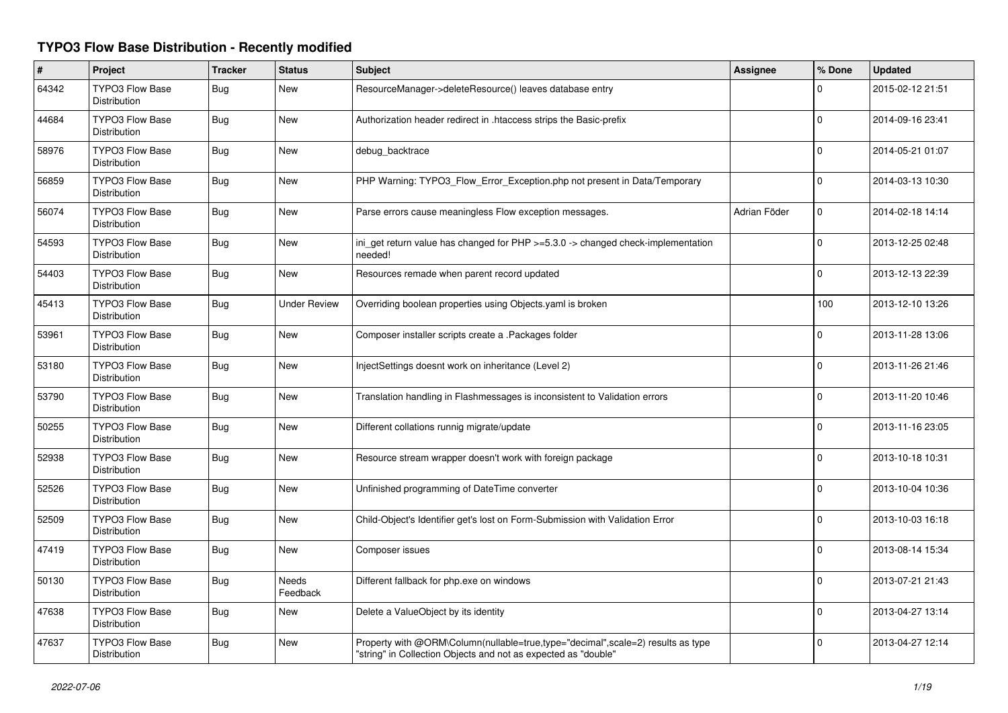## **TYPO3 Flow Base Distribution - Recently modified**

| $\pmb{\sharp}$ | Project                                       | <b>Tracker</b> | <b>Status</b>            | <b>Subject</b>                                                                                                                                    | Assignee     | % Done         | <b>Updated</b>   |
|----------------|-----------------------------------------------|----------------|--------------------------|---------------------------------------------------------------------------------------------------------------------------------------------------|--------------|----------------|------------------|
| 64342          | <b>TYPO3 Flow Base</b><br><b>Distribution</b> | Bug            | New                      | ResourceManager->deleteResource() leaves database entry                                                                                           |              | $\Omega$       | 2015-02-12 21:51 |
| 44684          | <b>TYPO3 Flow Base</b><br><b>Distribution</b> | Bug            | <b>New</b>               | Authorization header redirect in .htaccess strips the Basic-prefix                                                                                |              | $\Omega$       | 2014-09-16 23:41 |
| 58976          | <b>TYPO3 Flow Base</b><br>Distribution        | Bug            | New                      | debug_backtrace                                                                                                                                   |              | $\Omega$       | 2014-05-21 01:07 |
| 56859          | <b>TYPO3 Flow Base</b><br>Distribution        | Bug            | <b>New</b>               | PHP Warning: TYPO3_Flow_Error_Exception.php not present in Data/Temporary                                                                         |              | $\Omega$       | 2014-03-13 10:30 |
| 56074          | <b>TYPO3 Flow Base</b><br>Distribution        | Bug            | New                      | Parse errors cause meaningless Flow exception messages.                                                                                           | Adrian Föder | $\mathbf{0}$   | 2014-02-18 14:14 |
| 54593          | <b>TYPO3 Flow Base</b><br>Distribution        | Bug            | New                      | ini_get return value has changed for PHP >=5.3.0 -> changed check-implementation<br>needed!                                                       |              | $\overline{0}$ | 2013-12-25 02:48 |
| 54403          | <b>TYPO3 Flow Base</b><br>Distribution        | Bug            | <b>New</b>               | Resources remade when parent record updated                                                                                                       |              | 0              | 2013-12-13 22:39 |
| 45413          | <b>TYPO3 Flow Base</b><br>Distribution        | Bug            | Under Review             | Overriding boolean properties using Objects yaml is broken                                                                                        |              | 100            | 2013-12-10 13:26 |
| 53961          | <b>TYPO3 Flow Base</b><br>Distribution        | Bug            | New                      | Composer installer scripts create a .Packages folder                                                                                              |              | 0              | 2013-11-28 13:06 |
| 53180          | <b>TYPO3 Flow Base</b><br>Distribution        | Bug            | <b>New</b>               | InjectSettings doesnt work on inheritance (Level 2)                                                                                               |              | $\Omega$       | 2013-11-26 21:46 |
| 53790          | <b>TYPO3 Flow Base</b><br><b>Distribution</b> | Bug            | New                      | Translation handling in Flashmessages is inconsistent to Validation errors                                                                        |              | 0              | 2013-11-20 10:46 |
| 50255          | <b>TYPO3 Flow Base</b><br><b>Distribution</b> | Bug            | New                      | Different collations runnig migrate/update                                                                                                        |              | 0              | 2013-11-16 23:05 |
| 52938          | <b>TYPO3 Flow Base</b><br>Distribution        | Bug            | New                      | Resource stream wrapper doesn't work with foreign package                                                                                         |              | 0              | 2013-10-18 10:31 |
| 52526          | <b>TYPO3 Flow Base</b><br><b>Distribution</b> | Bug            | New                      | Unfinished programming of DateTime converter                                                                                                      |              | $\Omega$       | 2013-10-04 10:36 |
| 52509          | TYPO3 Flow Base<br>Distribution               | Bug            | New                      | Child-Object's Identifier get's lost on Form-Submission with Validation Error                                                                     |              | $\Omega$       | 2013-10-03 16:18 |
| 47419          | TYPO3 Flow Base<br><b>Distribution</b>        | Bug            | New                      | Composer issues                                                                                                                                   |              | $\Omega$       | 2013-08-14 15:34 |
| 50130          | <b>TYPO3 Flow Base</b><br><b>Distribution</b> | Bug            | <b>Needs</b><br>Feedback | Different fallback for php.exe on windows                                                                                                         |              | $\Omega$       | 2013-07-21 21:43 |
| 47638          | TYPO3 Flow Base<br>Distribution               | Bug            | New                      | Delete a ValueObject by its identity                                                                                                              |              | $\Omega$       | 2013-04-27 13:14 |
| 47637          | <b>TYPO3 Flow Base</b><br>Distribution        | Bug            | <b>New</b>               | Property with @ORM\Column(nullable=true,type="decimal",scale=2) results as type<br>"string" in Collection Objects and not as expected as "double" |              | 0              | 2013-04-27 12:14 |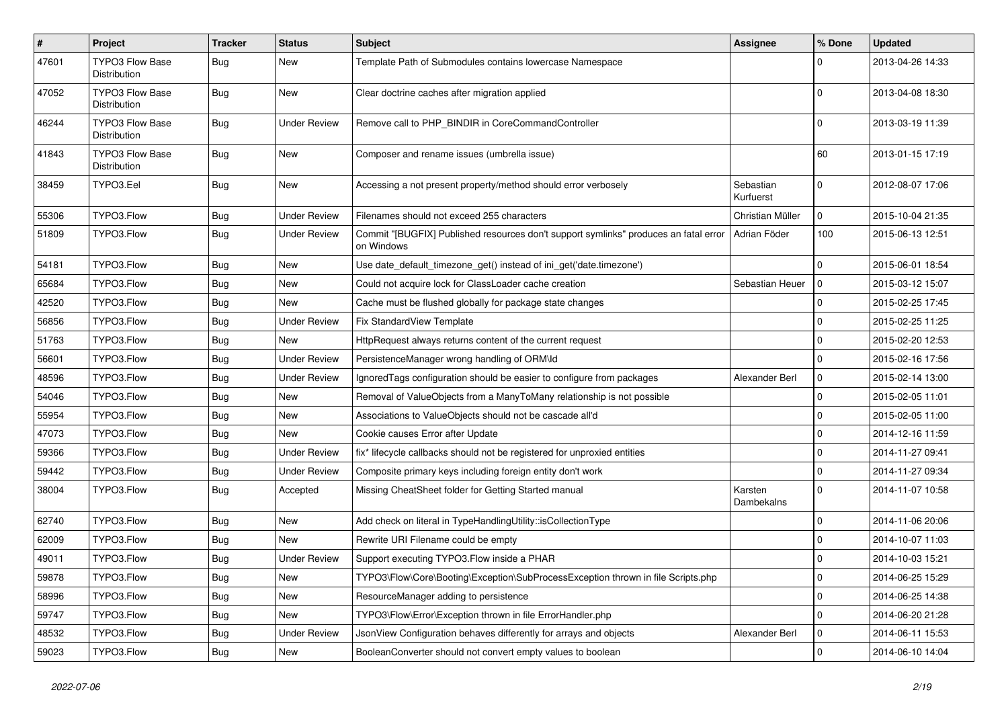| $\pmb{\#}$ | Project                                | <b>Tracker</b> | <b>Status</b>       | <b>Subject</b>                                                                                     | <b>Assignee</b>        | % Done       | <b>Updated</b>   |
|------------|----------------------------------------|----------------|---------------------|----------------------------------------------------------------------------------------------------|------------------------|--------------|------------------|
| 47601      | TYPO3 Flow Base<br>Distribution        | Bug            | New                 | Template Path of Submodules contains lowercase Namespace                                           |                        | $\Omega$     | 2013-04-26 14:33 |
| 47052      | <b>TYPO3 Flow Base</b><br>Distribution | Bug            | New                 | Clear doctrine caches after migration applied                                                      |                        | $\Omega$     | 2013-04-08 18:30 |
| 46244      | <b>TYPO3 Flow Base</b><br>Distribution | <b>Bug</b>     | <b>Under Review</b> | Remove call to PHP_BINDIR in CoreCommandController                                                 |                        | $\Omega$     | 2013-03-19 11:39 |
| 41843      | <b>TYPO3 Flow Base</b><br>Distribution | <b>Bug</b>     | New                 | Composer and rename issues (umbrella issue)                                                        |                        | 60           | 2013-01-15 17:19 |
| 38459      | TYPO3.Eel                              | Bug            | New                 | Accessing a not present property/method should error verbosely                                     | Sebastian<br>Kurfuerst | $\Omega$     | 2012-08-07 17:06 |
| 55306      | TYPO3.Flow                             | Bug            | <b>Under Review</b> | Filenames should not exceed 255 characters                                                         | Christian Müller       | $\mathbf 0$  | 2015-10-04 21:35 |
| 51809      | TYPO3.Flow                             | <b>Bug</b>     | <b>Under Review</b> | Commit "[BUGFIX] Published resources don't support symlinks" produces an fatal error<br>on Windows | Adrian Föder           | 100          | 2015-06-13 12:51 |
| 54181      | TYPO3.Flow                             | Bug            | New                 | Use date_default_timezone_get() instead of ini_get('date.timezone')                                |                        | $\mathbf{0}$ | 2015-06-01 18:54 |
| 65684      | TYPO3.Flow                             | Bug            | New                 | Could not acquire lock for ClassLoader cache creation                                              | Sebastian Heuer        | l o          | 2015-03-12 15:07 |
| 42520      | TYPO3.Flow                             | Bug            | <b>New</b>          | Cache must be flushed globally for package state changes                                           |                        | $\mathbf 0$  | 2015-02-25 17:45 |
| 56856      | TYPO3.Flow                             | <b>Bug</b>     | <b>Under Review</b> | Fix StandardView Template                                                                          |                        | $\mathbf 0$  | 2015-02-25 11:25 |
| 51763      | TYPO3.Flow                             | Bug            | <b>New</b>          | HttpRequest always returns content of the current request                                          |                        | $\mathbf 0$  | 2015-02-20 12:53 |
| 56601      | TYPO3.Flow                             | Bug            | <b>Under Review</b> | PersistenceManager wrong handling of ORM\ld                                                        |                        | $\mathbf 0$  | 2015-02-16 17:56 |
| 48596      | TYPO3.Flow                             | <b>Bug</b>     | Under Review        | IgnoredTags configuration should be easier to configure from packages                              | Alexander Berl         | $\mathbf 0$  | 2015-02-14 13:00 |
| 54046      | TYPO3.Flow                             | Bug            | <b>New</b>          | Removal of ValueObjects from a ManyToMany relationship is not possible                             |                        | 0            | 2015-02-05 11:01 |
| 55954      | TYPO3.Flow                             | Bug            | New                 | Associations to ValueObjects should not be cascade all'd                                           |                        | $\mathbf{0}$ | 2015-02-05 11:00 |
| 47073      | TYPO3.Flow                             | <b>Bug</b>     | <b>New</b>          | Cookie causes Error after Update                                                                   |                        | $\mathbf{0}$ | 2014-12-16 11:59 |
| 59366      | TYPO3.Flow                             | Bug            | <b>Under Review</b> | fix* lifecycle callbacks should not be registered for unproxied entities                           |                        | $\mathbf 0$  | 2014-11-27 09:41 |
| 59442      | TYPO3.Flow                             | <b>Bug</b>     | <b>Under Review</b> | Composite primary keys including foreign entity don't work                                         |                        | $\mathbf{0}$ | 2014-11-27 09:34 |
| 38004      | TYPO3.Flow                             | Bug            | Accepted            | Missing CheatSheet folder for Getting Started manual                                               | Karsten<br>Dambekalns  | $\Omega$     | 2014-11-07 10:58 |
| 62740      | TYPO3.Flow                             | <b>Bug</b>     | <b>New</b>          | Add check on literal in TypeHandlingUtility::isCollectionType                                      |                        | $\mathbf 0$  | 2014-11-06 20:06 |
| 62009      | TYPO3.Flow                             | Bug            | <b>New</b>          | Rewrite URI Filename could be empty                                                                |                        | $\mathbf 0$  | 2014-10-07 11:03 |
| 49011      | TYPO3.Flow                             | <b>Bug</b>     | <b>Under Review</b> | Support executing TYPO3.Flow inside a PHAR                                                         |                        | $\mathbf 0$  | 2014-10-03 15:21 |
| 59878      | TYPO3.Flow                             | <b>Bug</b>     | New                 | TYPO3\Flow\Core\Booting\Exception\SubProcessException thrown in file Scripts.php                   |                        | 0            | 2014-06-25 15:29 |
| 58996      | TYPO3.Flow                             | <b>Bug</b>     | New                 | ResourceManager adding to persistence                                                              |                        | $\mathbf 0$  | 2014-06-25 14:38 |
| 59747      | TYPO3.Flow                             | <b>Bug</b>     | New                 | TYPO3\Flow\Error\Exception thrown in file ErrorHandler.php                                         |                        | $\mathbf 0$  | 2014-06-20 21:28 |
| 48532      | TYPO3.Flow                             | <b>Bug</b>     | <b>Under Review</b> | JsonView Configuration behaves differently for arrays and objects                                  | Alexander Berl         | $\mathbf 0$  | 2014-06-11 15:53 |
| 59023      | TYPO3.Flow                             | Bug            | New                 | BooleanConverter should not convert empty values to boolean                                        |                        | $\mathbf 0$  | 2014-06-10 14:04 |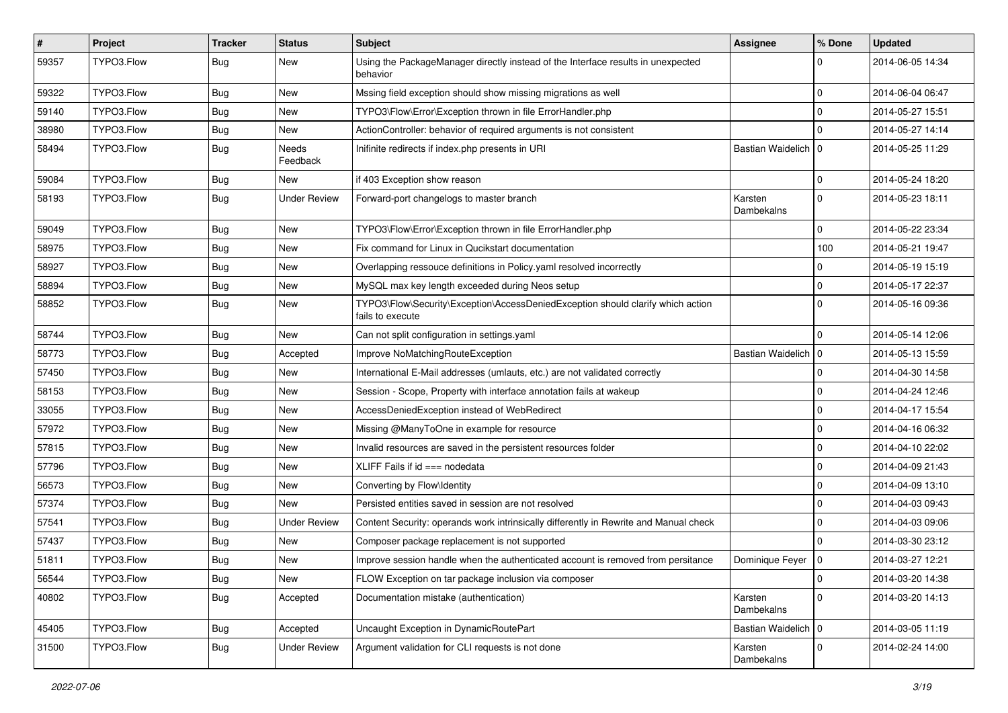| #     | Project    | <b>Tracker</b> | <b>Status</b>       | <b>Subject</b>                                                                                      | <b>Assignee</b>       | % Done       | <b>Updated</b>   |
|-------|------------|----------------|---------------------|-----------------------------------------------------------------------------------------------------|-----------------------|--------------|------------------|
| 59357 | TYPO3.Flow | Bug            | New                 | Using the PackageManager directly instead of the Interface results in unexpected<br>behavior        |                       | 0            | 2014-06-05 14:34 |
| 59322 | TYPO3.Flow | Bug            | New                 | Mssing field exception should show missing migrations as well                                       |                       | 0            | 2014-06-04 06:47 |
| 59140 | TYPO3.Flow | <b>Bug</b>     | New                 | TYPO3\Flow\Error\Exception thrown in file ErrorHandler.php                                          |                       | $\mathbf 0$  | 2014-05-27 15:51 |
| 38980 | TYPO3.Flow | <b>Bug</b>     | New                 | ActionController: behavior of required arguments is not consistent                                  |                       | $\mathbf 0$  | 2014-05-27 14:14 |
| 58494 | TYPO3.Flow | <b>Bug</b>     | Needs<br>Feedback   | Inifinite redirects if index.php presents in URI                                                    | Bastian Waidelich   0 |              | 2014-05-25 11:29 |
| 59084 | TYPO3.Flow | Bug            | New                 | if 403 Exception show reason                                                                        |                       | $\mathbf 0$  | 2014-05-24 18:20 |
| 58193 | TYPO3.Flow | Bug            | <b>Under Review</b> | Forward-port changelogs to master branch                                                            | Karsten<br>Dambekalns | $\mathbf 0$  | 2014-05-23 18:11 |
| 59049 | TYPO3.Flow | Bug            | New                 | TYPO3\Flow\Error\Exception thrown in file ErrorHandler.php                                          |                       | $\mathbf 0$  | 2014-05-22 23:34 |
| 58975 | TYPO3.Flow | <b>Bug</b>     | New                 | Fix command for Linux in Qucikstart documentation                                                   |                       | 100          | 2014-05-21 19:47 |
| 58927 | TYPO3.Flow | Bug            | New                 | Overlapping ressouce definitions in Policy.yaml resolved incorrectly                                |                       | 0            | 2014-05-19 15:19 |
| 58894 | TYPO3.Flow | <b>Bug</b>     | New                 | MySQL max key length exceeded during Neos setup                                                     |                       | $\mathbf 0$  | 2014-05-17 22:37 |
| 58852 | TYPO3.Flow | Bug            | New                 | TYPO3\Flow\Security\Exception\AccessDeniedException should clarify which action<br>fails to execute |                       | $\Omega$     | 2014-05-16 09:36 |
| 58744 | TYPO3.Flow | Bug            | New                 | Can not split configuration in settings.yaml                                                        |                       | $\Omega$     | 2014-05-14 12:06 |
| 58773 | TYPO3.Flow | Bug            | Accepted            | Improve NoMatchingRouteException                                                                    | Bastian Waidelich   0 |              | 2014-05-13 15:59 |
| 57450 | TYPO3.Flow | Bug            | New                 | International E-Mail addresses (umlauts, etc.) are not validated correctly                          |                       | $\mathbf 0$  | 2014-04-30 14:58 |
| 58153 | TYPO3.Flow | <b>Bug</b>     | New                 | Session - Scope, Property with interface annotation fails at wakeup                                 |                       | $\mathbf 0$  | 2014-04-24 12:46 |
| 33055 | TYPO3.Flow | Bug            | New                 | AccessDeniedException instead of WebRedirect                                                        |                       | $\mathbf{0}$ | 2014-04-17 15:54 |
| 57972 | TYPO3.Flow | <b>Bug</b>     | New                 | Missing @ManyToOne in example for resource                                                          |                       | 0            | 2014-04-16 06:32 |
| 57815 | TYPO3.Flow | Bug            | New                 | Invalid resources are saved in the persistent resources folder                                      |                       | $\mathbf 0$  | 2014-04-10 22:02 |
| 57796 | TYPO3.Flow | <b>Bug</b>     | New                 | XLIFF Fails if $id ==$ nodedata                                                                     |                       | 0            | 2014-04-09 21:43 |
| 56573 | TYPO3.Flow | <b>Bug</b>     | New                 | Converting by Flow\Identity                                                                         |                       | $\mathbf 0$  | 2014-04-09 13:10 |
| 57374 | TYPO3.Flow | Bug            | New                 | Persisted entities saved in session are not resolved                                                |                       | $\mathbf{0}$ | 2014-04-03 09:43 |
| 57541 | TYPO3.Flow | <b>Bug</b>     | Under Review        | Content Security: operands work intrinsically differently in Rewrite and Manual check               |                       | $\mathbf 0$  | 2014-04-03 09:06 |
| 57437 | TYPO3.Flow | <b>Bug</b>     | New                 | Composer package replacement is not supported                                                       |                       | $\Omega$     | 2014-03-30 23:12 |
| 51811 | TYPO3.Flow | Bug            | New                 | Improve session handle when the authenticated account is removed from persitance                    | Dominique Feyer   0   |              | 2014-03-27 12:21 |
| 56544 | TYPO3.Flow | Bug            | New                 | FLOW Exception on tar package inclusion via composer                                                |                       | $\pmb{0}$    | 2014-03-20 14:38 |
| 40802 | TYPO3.Flow | <b>Bug</b>     | Accepted            | Documentation mistake (authentication)                                                              | Karsten<br>Dambekalns | $\mathbf 0$  | 2014-03-20 14:13 |
| 45405 | TYPO3.Flow | <b>Bug</b>     | Accepted            | Uncaught Exception in DynamicRoutePart                                                              | Bastian Waidelich   0 |              | 2014-03-05 11:19 |
| 31500 | TYPO3.Flow | Bug            | <b>Under Review</b> | Argument validation for CLI requests is not done                                                    | Karsten<br>Dambekalns | $\mathbf 0$  | 2014-02-24 14:00 |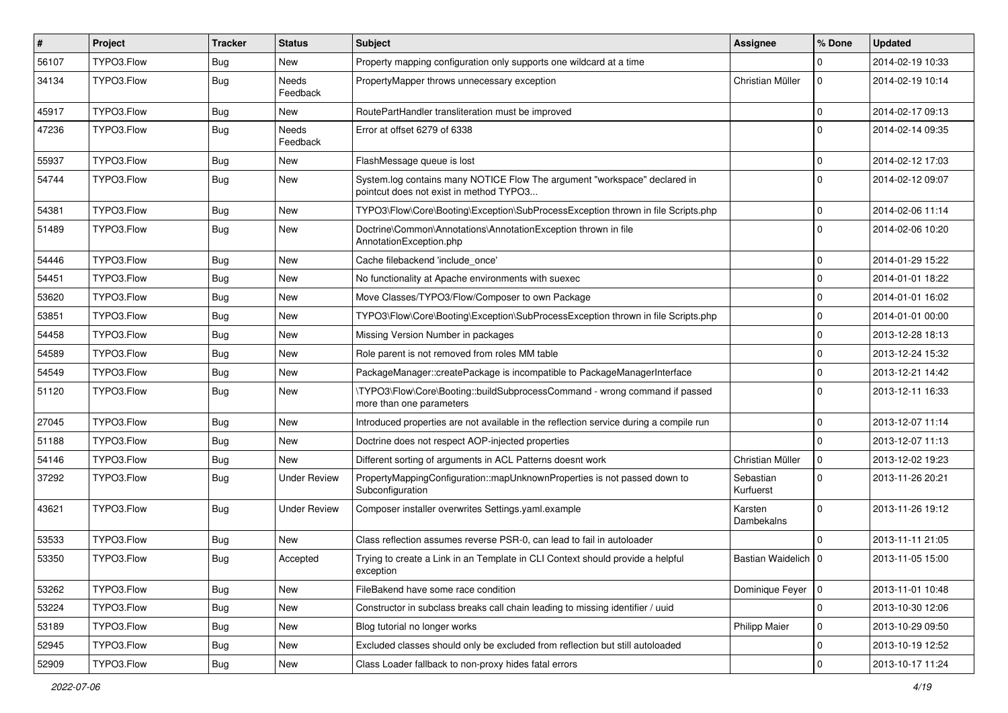| #     | Project    | <b>Tracker</b> | <b>Status</b>            | <b>Subject</b>                                                                                                       | <b>Assignee</b>        | % Done       | <b>Updated</b>   |
|-------|------------|----------------|--------------------------|----------------------------------------------------------------------------------------------------------------------|------------------------|--------------|------------------|
| 56107 | TYPO3.Flow | Bug            | New                      | Property mapping configuration only supports one wildcard at a time                                                  |                        | 0            | 2014-02-19 10:33 |
| 34134 | TYPO3.Flow | <b>Bug</b>     | Needs<br>Feedback        | PropertyMapper throws unnecessary exception                                                                          | Christian Müller       | $\mathbf 0$  | 2014-02-19 10:14 |
| 45917 | TYPO3.Flow | Bug            | New                      | RoutePartHandler transliteration must be improved                                                                    |                        | $\mathbf 0$  | 2014-02-17 09:13 |
| 47236 | TYPO3.Flow | Bug            | <b>Needs</b><br>Feedback | Error at offset 6279 of 6338                                                                                         |                        | $\Omega$     | 2014-02-14 09:35 |
| 55937 | TYPO3.Flow | Bug            | New                      | FlashMessage queue is lost                                                                                           |                        | $\mathbf 0$  | 2014-02-12 17:03 |
| 54744 | TYPO3.Flow | Bug            | <b>New</b>               | System.log contains many NOTICE Flow The argument "workspace" declared in<br>pointcut does not exist in method TYPO3 |                        | $\mathbf 0$  | 2014-02-12 09:07 |
| 54381 | TYPO3.Flow | Bug            | <b>New</b>               | TYPO3\Flow\Core\Booting\Exception\SubProcessException thrown in file Scripts.php                                     |                        | $\mathbf 0$  | 2014-02-06 11:14 |
| 51489 | TYPO3.Flow | Bug            | New                      | Doctrine\Common\Annotations\AnnotationException thrown in file<br>AnnotationException.php                            |                        | $\Omega$     | 2014-02-06 10:20 |
| 54446 | TYPO3.Flow | Bug            | New                      | Cache filebackend 'include_once'                                                                                     |                        | $\mathbf{0}$ | 2014-01-29 15:22 |
| 54451 | TYPO3.Flow | <b>Bug</b>     | New                      | No functionality at Apache environments with suexec                                                                  |                        | $\mathbf 0$  | 2014-01-01 18:22 |
| 53620 | TYPO3.Flow | Bug            | New                      | Move Classes/TYPO3/Flow/Composer to own Package                                                                      |                        | $\mathbf 0$  | 2014-01-01 16:02 |
| 53851 | TYPO3.Flow | Bug            | New                      | TYPO3\Flow\Core\Booting\Exception\SubProcessException thrown in file Scripts.php                                     |                        | $\mathbf 0$  | 2014-01-01 00:00 |
| 54458 | TYPO3.Flow | Bug            | New                      | Missing Version Number in packages                                                                                   |                        | $\mathbf 0$  | 2013-12-28 18:13 |
| 54589 | TYPO3.Flow | Bug            | New                      | Role parent is not removed from roles MM table                                                                       |                        | $\mathbf 0$  | 2013-12-24 15:32 |
| 54549 | TYPO3.Flow | Bug            | New                      | PackageManager::createPackage is incompatible to PackageManagerInterface                                             |                        | $\mathbf 0$  | 2013-12-21 14:42 |
| 51120 | TYPO3.Flow | Bug            | New                      | \TYPO3\Flow\Core\Booting::buildSubprocessCommand - wrong command if passed<br>more than one parameters               |                        | $\mathbf{0}$ | 2013-12-11 16:33 |
| 27045 | TYPO3.Flow | Bug            | New                      | Introduced properties are not available in the reflection service during a compile run                               |                        | $\mathbf 0$  | 2013-12-07 11:14 |
| 51188 | TYPO3.Flow | Bug            | New                      | Doctrine does not respect AOP-injected properties                                                                    |                        | $\Omega$     | 2013-12-07 11:13 |
| 54146 | TYPO3.Flow | Bug            | New                      | Different sorting of arguments in ACL Patterns doesnt work                                                           | Christian Müller       | $\mathbf 0$  | 2013-12-02 19:23 |
| 37292 | TYPO3.Flow | Bug            | <b>Under Review</b>      | PropertyMappingConfiguration::mapUnknownProperties is not passed down to<br>Subconfiguration                         | Sebastian<br>Kurfuerst | $\mathbf 0$  | 2013-11-26 20:21 |
| 43621 | TYPO3.Flow | Bug            | Under Review             | Composer installer overwrites Settings.yaml.example                                                                  | Karsten<br>Dambekalns  | $\Omega$     | 2013-11-26 19:12 |
| 53533 | TYPO3.Flow | Bug            | New                      | Class reflection assumes reverse PSR-0, can lead to fail in autoloader                                               |                        | $\Omega$     | 2013-11-11 21:05 |
| 53350 | TYPO3.Flow | <b>Bug</b>     | Accepted                 | Trying to create a Link in an Template in CLI Context should provide a helpful<br>exception                          | Bastian Waidelich   0  |              | 2013-11-05 15:00 |
| 53262 | TYPO3.Flow | Bug            | New                      | FileBakend have some race condition                                                                                  | Dominique Feyer   0    |              | 2013-11-01 10:48 |
| 53224 | TYPO3.Flow | <b>Bug</b>     | New                      | Constructor in subclass breaks call chain leading to missing identifier / uuid                                       |                        | $\mathbf 0$  | 2013-10-30 12:06 |
| 53189 | TYPO3.Flow | <b>Bug</b>     | New                      | Blog tutorial no longer works                                                                                        | Philipp Maier          | $\mathbf 0$  | 2013-10-29 09:50 |
| 52945 | TYPO3.Flow | <b>Bug</b>     | New                      | Excluded classes should only be excluded from reflection but still autoloaded                                        |                        | $\mathbf 0$  | 2013-10-19 12:52 |
| 52909 | TYPO3.Flow | Bug            | New                      | Class Loader fallback to non-proxy hides fatal errors                                                                |                        | $\pmb{0}$    | 2013-10-17 11:24 |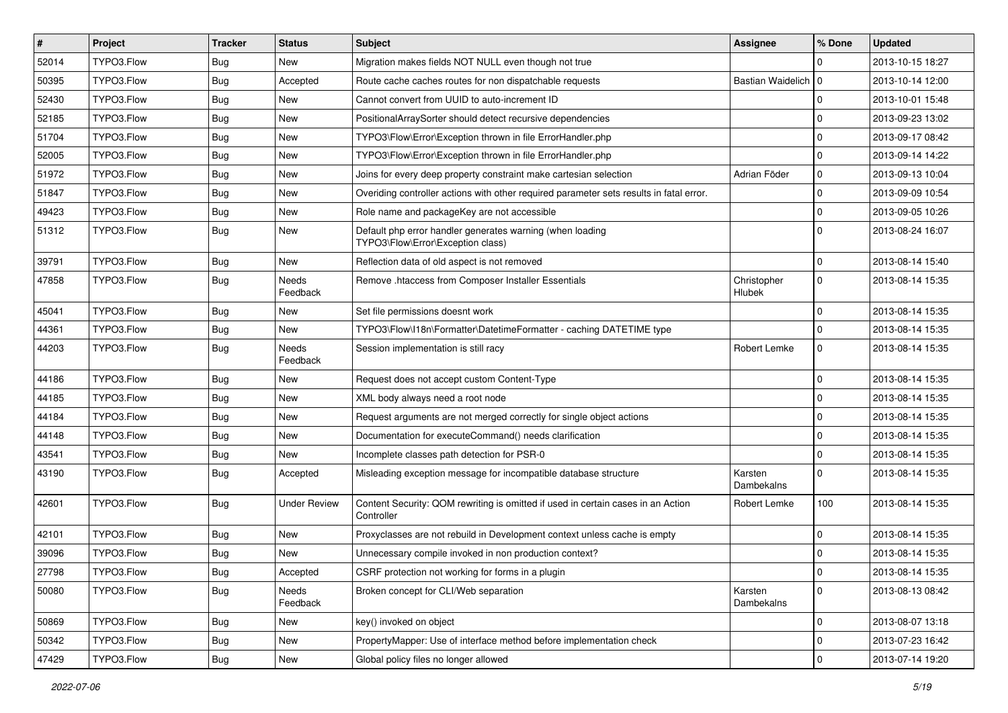| $\sharp$ | Project    | <b>Tracker</b> | <b>Status</b>            | <b>Subject</b>                                                                                 | <b>Assignee</b>       | % Done         | <b>Updated</b>   |
|----------|------------|----------------|--------------------------|------------------------------------------------------------------------------------------------|-----------------------|----------------|------------------|
| 52014    | TYPO3.Flow | Bug            | New                      | Migration makes fields NOT NULL even though not true                                           |                       | $\Omega$       | 2013-10-15 18:27 |
| 50395    | TYPO3.Flow | Bug            | Accepted                 | Route cache caches routes for non dispatchable requests                                        | Bastian Waidelich   0 |                | 2013-10-14 12:00 |
| 52430    | TYPO3.Flow | <b>Bug</b>     | New                      | Cannot convert from UUID to auto-increment ID                                                  |                       | $\Omega$       | 2013-10-01 15:48 |
| 52185    | TYPO3.Flow | <b>Bug</b>     | New                      | PositionalArraySorter should detect recursive dependencies                                     |                       | $\Omega$       | 2013-09-23 13:02 |
| 51704    | TYPO3.Flow | Bug            | <b>New</b>               | TYPO3\Flow\Error\Exception thrown in file ErrorHandler.php                                     |                       | $\Omega$       | 2013-09-17 08:42 |
| 52005    | TYPO3.Flow | <b>Bug</b>     | New                      | TYPO3\Flow\Error\Exception thrown in file ErrorHandler.php                                     |                       | $\Omega$       | 2013-09-14 14:22 |
| 51972    | TYPO3.Flow | Bug            | New                      | Joins for every deep property constraint make cartesian selection                              | Adrian Föder          | $\Omega$       | 2013-09-13 10:04 |
| 51847    | TYPO3.Flow | Bug            | New                      | Overiding controller actions with other required parameter sets results in fatal error.        |                       | $\overline{0}$ | 2013-09-09 10:54 |
| 49423    | TYPO3.Flow | Bug            | <b>New</b>               | Role name and packageKey are not accessible                                                    |                       | $\mathbf 0$    | 2013-09-05 10:26 |
| 51312    | TYPO3.Flow | Bug            | New                      | Default php error handler generates warning (when loading<br>TYPO3\Flow\Error\Exception class) |                       | $\Omega$       | 2013-08-24 16:07 |
| 39791    | TYPO3.Flow | Bug            | New                      | Reflection data of old aspect is not removed                                                   |                       | $\mathbf 0$    | 2013-08-14 15:40 |
| 47858    | TYPO3.Flow | Bug            | <b>Needs</b><br>Feedback | Remove .htaccess from Composer Installer Essentials                                            | Christopher<br>Hlubek | $\mathbf 0$    | 2013-08-14 15:35 |
| 45041    | TYPO3.Flow | Bug            | New                      | Set file permissions doesnt work                                                               |                       | $\Omega$       | 2013-08-14 15:35 |
| 44361    | TYPO3.Flow | Bug            | New                      | TYPO3\Flow\I18n\Formatter\DatetimeFormatter - caching DATETIME type                            |                       | $\mathbf 0$    | 2013-08-14 15:35 |
| 44203    | TYPO3.Flow | <b>Bug</b>     | Needs<br>Feedback        | Session implementation is still racy                                                           | Robert Lemke          | $\Omega$       | 2013-08-14 15:35 |
| 44186    | TYPO3.Flow | Bug            | New                      | Request does not accept custom Content-Type                                                    |                       | $\mathbf 0$    | 2013-08-14 15:35 |
| 44185    | TYPO3.Flow | <b>Bug</b>     | New                      | XML body always need a root node                                                               |                       | $\mathbf 0$    | 2013-08-14 15:35 |
| 44184    | TYPO3.Flow | Bug            | <b>New</b>               | Request arguments are not merged correctly for single object actions                           |                       | $\Omega$       | 2013-08-14 15:35 |
| 44148    | TYPO3.Flow | Bug            | New                      | Documentation for executeCommand() needs clarification                                         |                       | $\Omega$       | 2013-08-14 15:35 |
| 43541    | TYPO3.Flow | Bug            | <b>New</b>               | Incomplete classes path detection for PSR-0                                                    |                       | $\Omega$       | 2013-08-14 15:35 |
| 43190    | TYPO3.Flow | Bug            | Accepted                 | Misleading exception message for incompatible database structure                               | Karsten<br>Dambekalns | $\Omega$       | 2013-08-14 15:35 |
| 42601    | TYPO3.Flow | Bug            | <b>Under Review</b>      | Content Security: QOM rewriting is omitted if used in certain cases in an Action<br>Controller | Robert Lemke          | 100            | 2013-08-14 15:35 |
| 42101    | TYPO3.Flow | <b>Bug</b>     | <b>New</b>               | Proxyclasses are not rebuild in Development context unless cache is empty                      |                       | 0              | 2013-08-14 15:35 |
| 39096    | TYPO3.Flow | <b>Bug</b>     | <b>New</b>               | Unnecessary compile invoked in non production context?                                         |                       | $\Omega$       | 2013-08-14 15:35 |
| 27798    | TYPO3.Flow | Bug            | Accepted                 | CSRF protection not working for forms in a plugin                                              |                       | <b>O</b>       | 2013-08-14 15:35 |
| 50080    | TYPO3.Flow | <b>Bug</b>     | Needs<br>Feedback        | Broken concept for CLI/Web separation                                                          | Karsten<br>Dambekalns | $\overline{0}$ | 2013-08-13 08:42 |
| 50869    | TYPO3.Flow | <b>Bug</b>     | New                      | key() invoked on object                                                                        |                       | $\mathbf 0$    | 2013-08-07 13:18 |
| 50342    | TYPO3.Flow | <b>Bug</b>     | New                      | PropertyMapper: Use of interface method before implementation check                            |                       | $\overline{0}$ | 2013-07-23 16:42 |
| 47429    | TYPO3.Flow | <b>Bug</b>     | New                      | Global policy files no longer allowed                                                          |                       | $\overline{0}$ | 2013-07-14 19:20 |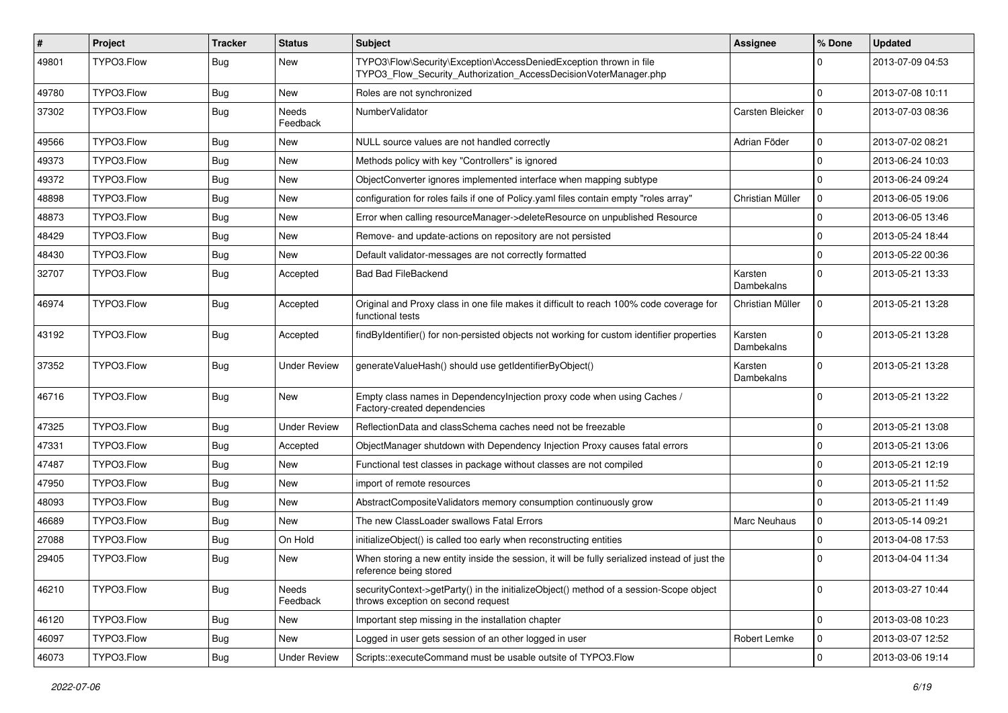| #     | Project    | <b>Tracker</b> | <b>Status</b>       | <b>Subject</b>                                                                                                                         | Assignee              | % Done       | <b>Updated</b>   |
|-------|------------|----------------|---------------------|----------------------------------------------------------------------------------------------------------------------------------------|-----------------------|--------------|------------------|
| 49801 | TYPO3.Flow | <b>Bug</b>     | New                 | TYPO3\Flow\Security\Exception\AccessDeniedException thrown in file<br>TYPO3_Flow_Security_Authorization_AccessDecisionVoterManager.php |                       | $\Omega$     | 2013-07-09 04:53 |
| 49780 | TYPO3.Flow | <b>Bug</b>     | <b>New</b>          | Roles are not synchronized                                                                                                             |                       | $\mathbf 0$  | 2013-07-08 10:11 |
| 37302 | TYPO3.Flow | Bug            | Needs<br>Feedback   | NumberValidator                                                                                                                        | Carsten Bleicker      | $\Omega$     | 2013-07-03 08:36 |
| 49566 | TYPO3.Flow | Bug            | New                 | NULL source values are not handled correctly                                                                                           | Adrian Föder          | $\mathbf 0$  | 2013-07-02 08:21 |
| 49373 | TYPO3.Flow | <b>Bug</b>     | <b>New</b>          | Methods policy with key "Controllers" is ignored                                                                                       |                       | $\mathbf{0}$ | 2013-06-24 10:03 |
| 49372 | TYPO3.Flow | Bug            | New                 | ObjectConverter ignores implemented interface when mapping subtype                                                                     |                       | 0            | 2013-06-24 09:24 |
| 48898 | TYPO3.Flow | <b>Bug</b>     | New                 | configuration for roles fails if one of Policy yaml files contain empty "roles array"                                                  | Christian Müller      | $\mathbf 0$  | 2013-06-05 19:06 |
| 48873 | TYPO3.Flow | <b>Bug</b>     | New                 | Error when calling resourceManager->deleteResource on unpublished Resource                                                             |                       | $\mathbf 0$  | 2013-06-05 13:46 |
| 48429 | TYPO3.Flow | Bug            | New                 | Remove- and update-actions on repository are not persisted                                                                             |                       | 0            | 2013-05-24 18:44 |
| 48430 | TYPO3.Flow | Bug            | New                 | Default validator-messages are not correctly formatted                                                                                 |                       | $\Omega$     | 2013-05-22 00:36 |
| 32707 | TYPO3.Flow | Bug            | Accepted            | <b>Bad Bad FileBackend</b>                                                                                                             | Karsten<br>Dambekalns | $\Omega$     | 2013-05-21 13:33 |
| 46974 | TYPO3.Flow | Bug            | Accepted            | Original and Proxy class in one file makes it difficult to reach 100% code coverage for<br>functional tests                            | Christian Müller      | $\mathbf 0$  | 2013-05-21 13:28 |
| 43192 | TYPO3.Flow | <b>Bug</b>     | Accepted            | findByIdentifier() for non-persisted objects not working for custom identifier properties                                              | Karsten<br>Dambekalns | $\Omega$     | 2013-05-21 13:28 |
| 37352 | TYPO3.Flow | Bug            | <b>Under Review</b> | generateValueHash() should use getIdentifierByObject()                                                                                 | Karsten<br>Dambekalns | $\mathbf 0$  | 2013-05-21 13:28 |
| 46716 | TYPO3.Flow | <b>Bug</b>     | New                 | Empty class names in Dependencylnjection proxy code when using Caches /<br>Factory-created dependencies                                |                       | $\Omega$     | 2013-05-21 13:22 |
| 47325 | TYPO3.Flow | Bug            | <b>Under Review</b> | ReflectionData and classSchema caches need not be freezable                                                                            |                       | $\mathbf 0$  | 2013-05-21 13:08 |
| 47331 | TYPO3.Flow | Bug            | Accepted            | ObjectManager shutdown with Dependency Injection Proxy causes fatal errors                                                             |                       | $\mathbf{0}$ | 2013-05-21 13:06 |
| 47487 | TYPO3.Flow | <b>Bug</b>     | New                 | Functional test classes in package without classes are not compiled                                                                    |                       | $\mathbf 0$  | 2013-05-21 12:19 |
| 47950 | TYPO3.Flow | Bug            | New                 | import of remote resources                                                                                                             |                       | $\mathbf 0$  | 2013-05-21 11:52 |
| 48093 | TYPO3.Flow | <b>Bug</b>     | New                 | AbstractCompositeValidators memory consumption continuously grow                                                                       |                       | $\mathbf 0$  | 2013-05-21 11:49 |
| 46689 | TYPO3.Flow | <b>Bug</b>     | New                 | The new ClassLoader swallows Fatal Errors                                                                                              | Marc Neuhaus          | $\mathbf 0$  | 2013-05-14 09:21 |
| 27088 | TYPO3.Flow | Bug            | On Hold             | initializeObject() is called too early when reconstructing entities                                                                    |                       | $\mathbf 0$  | 2013-04-08 17:53 |
| 29405 | TYPO3.Flow | <b>Bug</b>     | New                 | When storing a new entity inside the session, it will be fully serialized instead of just the<br>reference being stored                |                       | $\Omega$     | 2013-04-04 11:34 |
| 46210 | TYPO3.Flow | Bug            | Needs<br>Feedback   | securityContext->getParty() in the initializeObject() method of a session-Scope object<br>throws exception on second request           |                       | $\mathbf 0$  | 2013-03-27 10:44 |
| 46120 | TYPO3.Flow | <b>Bug</b>     | New                 | Important step missing in the installation chapter                                                                                     |                       | $\mathbf 0$  | 2013-03-08 10:23 |
| 46097 | TYPO3.Flow | <b>Bug</b>     | New                 | Logged in user gets session of an other logged in user                                                                                 | Robert Lemke          | 0            | 2013-03-07 12:52 |
| 46073 | TYPO3.Flow | <b>Bug</b>     | <b>Under Review</b> | Scripts::executeCommand must be usable outsite of TYPO3.Flow                                                                           |                       | $\pmb{0}$    | 2013-03-06 19:14 |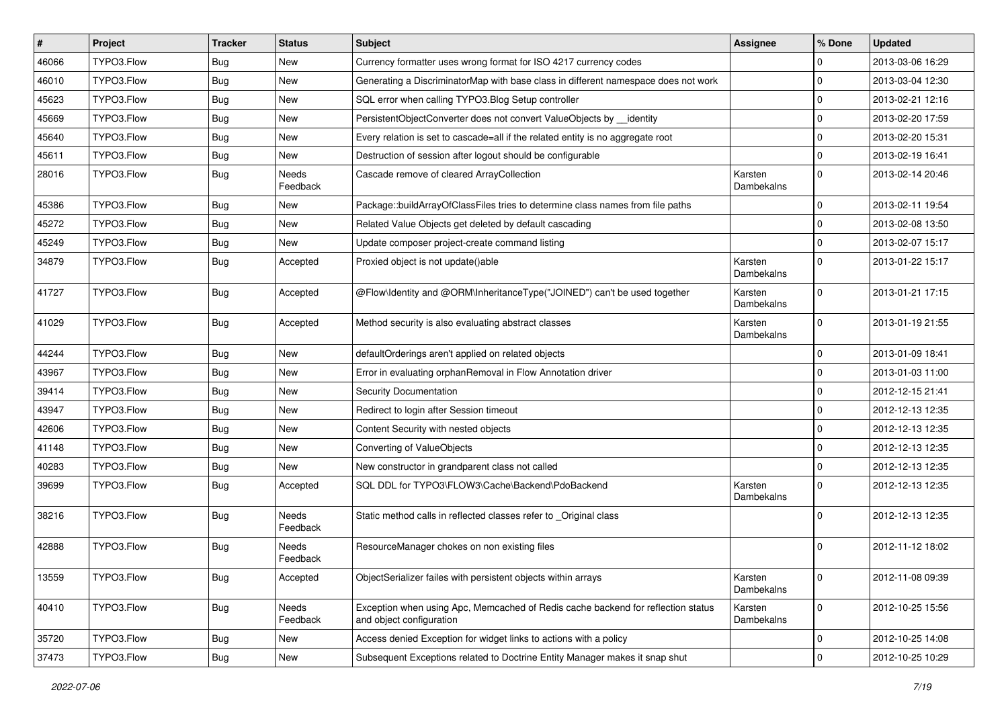| $\sharp$ | Project    | <b>Tracker</b> | <b>Status</b>     | <b>Subject</b>                                                                                               | <b>Assignee</b>       | % Done       | <b>Updated</b>   |
|----------|------------|----------------|-------------------|--------------------------------------------------------------------------------------------------------------|-----------------------|--------------|------------------|
| 46066    | TYPO3.Flow | Bug            | New               | Currency formatter uses wrong format for ISO 4217 currency codes                                             |                       | 0            | 2013-03-06 16:29 |
| 46010    | TYPO3.Flow | Bug            | New               | Generating a DiscriminatorMap with base class in different namespace does not work                           |                       | $\mathbf 0$  | 2013-03-04 12:30 |
| 45623    | TYPO3.Flow | Bug            | New               | SQL error when calling TYPO3.Blog Setup controller                                                           |                       | $\mathbf{0}$ | 2013-02-21 12:16 |
| 45669    | TYPO3.Flow | <b>Bug</b>     | New               | PersistentObjectConverter does not convert ValueObjects by _identity                                         |                       | 0            | 2013-02-20 17:59 |
| 45640    | TYPO3.Flow | Bug            | New               | Every relation is set to cascade=all if the related entity is no aggregate root                              |                       | 0            | 2013-02-20 15:31 |
| 45611    | TYPO3.Flow | <b>Bug</b>     | New               | Destruction of session after logout should be configurable                                                   |                       | $\pmb{0}$    | 2013-02-19 16:41 |
| 28016    | TYPO3.Flow | <b>Bug</b>     | Needs<br>Feedback | Cascade remove of cleared ArrayCollection                                                                    | Karsten<br>Dambekalns | $\Omega$     | 2013-02-14 20:46 |
| 45386    | TYPO3.Flow | Bug            | New               | Package::buildArrayOfClassFiles tries to determine class names from file paths                               |                       | $\mathbf 0$  | 2013-02-11 19:54 |
| 45272    | TYPO3.Flow | Bug            | New               | Related Value Objects get deleted by default cascading                                                       |                       | 0            | 2013-02-08 13:50 |
| 45249    | TYPO3.Flow | Bug            | New               | Update composer project-create command listing                                                               |                       | $\mathbf{0}$ | 2013-02-07 15:17 |
| 34879    | TYPO3.Flow | Bug            | Accepted          | Proxied object is not update()able                                                                           | Karsten<br>Dambekalns | $\mathbf 0$  | 2013-01-22 15:17 |
| 41727    | TYPO3.Flow | Bug            | Accepted          | @Flow\Identity and @ORM\InheritanceType("JOINED") can't be used together                                     | Karsten<br>Dambekalns | $\mathbf 0$  | 2013-01-21 17:15 |
| 41029    | TYPO3.Flow | Bug            | Accepted          | Method security is also evaluating abstract classes                                                          | Karsten<br>Dambekalns | $\mathbf 0$  | 2013-01-19 21:55 |
| 44244    | TYPO3.Flow | Bug            | <b>New</b>        | defaultOrderings aren't applied on related objects                                                           |                       | $\mathbf{0}$ | 2013-01-09 18:41 |
| 43967    | TYPO3.Flow | Bug            | New               | Error in evaluating orphanRemoval in Flow Annotation driver                                                  |                       | $\mathbf 0$  | 2013-01-03 11:00 |
| 39414    | TYPO3.Flow | <b>Bug</b>     | New               | Security Documentation                                                                                       |                       | $\mathbf 0$  | 2012-12-15 21:41 |
| 43947    | TYPO3.Flow | Bug            | New               | Redirect to login after Session timeout                                                                      |                       | 0            | 2012-12-13 12:35 |
| 42606    | TYPO3.Flow | <b>Bug</b>     | New               | Content Security with nested objects                                                                         |                       | $\pmb{0}$    | 2012-12-13 12:35 |
| 41148    | TYPO3.Flow | Bug            | New               | Converting of ValueObjects                                                                                   |                       | $\mathbf 0$  | 2012-12-13 12:35 |
| 40283    | TYPO3.Flow | <b>Bug</b>     | New               | New constructor in grandparent class not called                                                              |                       | $\mathbf 0$  | 2012-12-13 12:35 |
| 39699    | TYPO3.Flow | Bug            | Accepted          | SQL DDL for TYPO3\FLOW3\Cache\Backend\PdoBackend                                                             | Karsten<br>Dambekalns | $\mathbf 0$  | 2012-12-13 12:35 |
| 38216    | TYPO3.Flow | Bug            | Needs<br>Feedback | Static method calls in reflected classes refer to _Original class                                            |                       | $\Omega$     | 2012-12-13 12:35 |
| 42888    | TYPO3.Flow | <b>Bug</b>     | Needs<br>Feedback | ResourceManager chokes on non existing files                                                                 |                       | $\mathbf 0$  | 2012-11-12 18:02 |
| 13559    | TYPO3.Flow | Bug            | Accepted          | ObjectSerializer failes with persistent objects within arrays                                                | Karsten<br>Dambekalns | $\mathbf 0$  | 2012-11-08 09:39 |
| 40410    | TYPO3.Flow | <b>Bug</b>     | Needs<br>Feedback | Exception when using Apc, Memcached of Redis cache backend for reflection status<br>and object configuration | Karsten<br>Dambekalns | 0            | 2012-10-25 15:56 |
| 35720    | TYPO3.Flow | <b>Bug</b>     | New               | Access denied Exception for widget links to actions with a policy                                            |                       | $\pmb{0}$    | 2012-10-25 14:08 |
| 37473    | TYPO3.Flow | Bug            | New               | Subsequent Exceptions related to Doctrine Entity Manager makes it snap shut                                  |                       | $\pmb{0}$    | 2012-10-25 10:29 |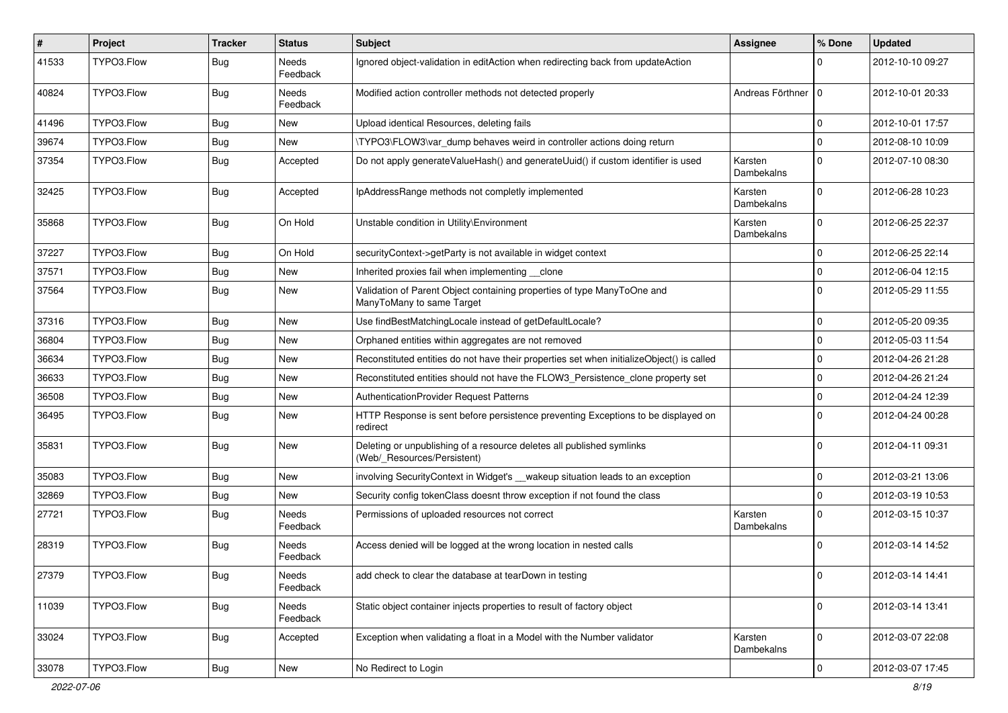| $\vert$ # | Project    | <b>Tracker</b> | <b>Status</b>     | <b>Subject</b>                                                                                       | Assignee              | % Done         | <b>Updated</b>   |
|-----------|------------|----------------|-------------------|------------------------------------------------------------------------------------------------------|-----------------------|----------------|------------------|
| 41533     | TYPO3.Flow | <b>Bug</b>     | Needs<br>Feedback | Ignored object-validation in editAction when redirecting back from updateAction                      |                       | $\Omega$       | 2012-10-10 09:27 |
| 40824     | TYPO3.Flow | <b>Bug</b>     | Needs<br>Feedback | Modified action controller methods not detected properly                                             | Andreas Förthner   0  |                | 2012-10-01 20:33 |
| 41496     | TYPO3.Flow | Bug            | New               | Upload identical Resources, deleting fails                                                           |                       | $\mathbf 0$    | 2012-10-01 17:57 |
| 39674     | TYPO3.Flow | Bug            | <b>New</b>        | \TYPO3\FLOW3\var_dump behaves weird in controller actions doing return                               |                       | $\overline{0}$ | 2012-08-10 10:09 |
| 37354     | TYPO3.Flow | <b>Bug</b>     | Accepted          | Do not apply generate Value Hash() and generate Uuid() if custom identifier is used                  | Karsten<br>Dambekalns | $\Omega$       | 2012-07-10 08:30 |
| 32425     | TYPO3.Flow | Bug            | Accepted          | IpAddressRange methods not completly implemented                                                     | Karsten<br>Dambekalns | $\Omega$       | 2012-06-28 10:23 |
| 35868     | TYPO3.Flow | <b>Bug</b>     | On Hold           | Unstable condition in Utility\Environment                                                            | Karsten<br>Dambekalns | $\Omega$       | 2012-06-25 22:37 |
| 37227     | TYPO3.Flow | Bug            | On Hold           | securityContext->getParty is not available in widget context                                         |                       | $\Omega$       | 2012-06-25 22:14 |
| 37571     | TYPO3.Flow | Bug            | New               | Inherited proxies fail when implementing __clone                                                     |                       | $\overline{0}$ | 2012-06-04 12:15 |
| 37564     | TYPO3.Flow | Bug            | New               | Validation of Parent Object containing properties of type ManyToOne and<br>ManyToMany to same Target |                       | $\Omega$       | 2012-05-29 11:55 |
| 37316     | TYPO3.Flow | Bug            | <b>New</b>        | Use findBestMatchingLocale instead of getDefaultLocale?                                              |                       | $\Omega$       | 2012-05-20 09:35 |
| 36804     | TYPO3.Flow | Bug            | New               | Orphaned entities within aggregates are not removed                                                  |                       | $\mathbf 0$    | 2012-05-03 11:54 |
| 36634     | TYPO3.Flow | Bug            | New               | Reconstituted entities do not have their properties set when initializeObject() is called            |                       | $\overline{0}$ | 2012-04-26 21:28 |
| 36633     | TYPO3.Flow | Bug            | New               | Reconstituted entities should not have the FLOW3_Persistence_clone property set                      |                       | $\Omega$       | 2012-04-26 21:24 |
| 36508     | TYPO3.Flow | Bug            | <b>New</b>        | AuthenticationProvider Request Patterns                                                              |                       | $\mathbf 0$    | 2012-04-24 12:39 |
| 36495     | TYPO3.Flow | Bug            | New               | HTTP Response is sent before persistence preventing Exceptions to be displayed on<br>redirect        |                       | $\Omega$       | 2012-04-24 00:28 |
| 35831     | TYPO3.Flow | Bug            | New               | Deleting or unpublishing of a resource deletes all published symlinks<br>(Web/_Resources/Persistent) |                       | $\Omega$       | 2012-04-11 09:31 |
| 35083     | TYPO3.Flow | <b>Bug</b>     | New               | involving SecurityContext in Widget's __wakeup situation leads to an exception                       |                       | $\Omega$       | 2012-03-21 13:06 |
| 32869     | TYPO3.Flow | Bug            | New               | Security config tokenClass doesnt throw exception if not found the class                             |                       | $\Omega$       | 2012-03-19 10:53 |
| 27721     | TYPO3.Flow | <b>Bug</b>     | Needs<br>Feedback | Permissions of uploaded resources not correct                                                        | Karsten<br>Dambekalns | $\Omega$       | 2012-03-15 10:37 |
| 28319     | TYPO3.Flow | <b>Bug</b>     | Needs<br>Feedback | Access denied will be logged at the wrong location in nested calls                                   |                       | $\Omega$       | 2012-03-14 14:52 |
| 27379     | TYPO3.Flow | Bug            | Needs<br>Feedback | add check to clear the database at tearDown in testing                                               |                       | 0              | 2012-03-14 14:41 |
| 11039     | TYPO3.Flow | <b>Bug</b>     | Needs<br>Feedback | Static object container injects properties to result of factory object                               |                       | $\mathbf 0$    | 2012-03-14 13:41 |
| 33024     | TYPO3.Flow | <b>Bug</b>     | Accepted          | Exception when validating a float in a Model with the Number validator                               | Karsten<br>Dambekalns | $\Omega$       | 2012-03-07 22:08 |
| 33078     | TYPO3.Flow | Bug            | New               | No Redirect to Login                                                                                 |                       | $\overline{0}$ | 2012-03-07 17:45 |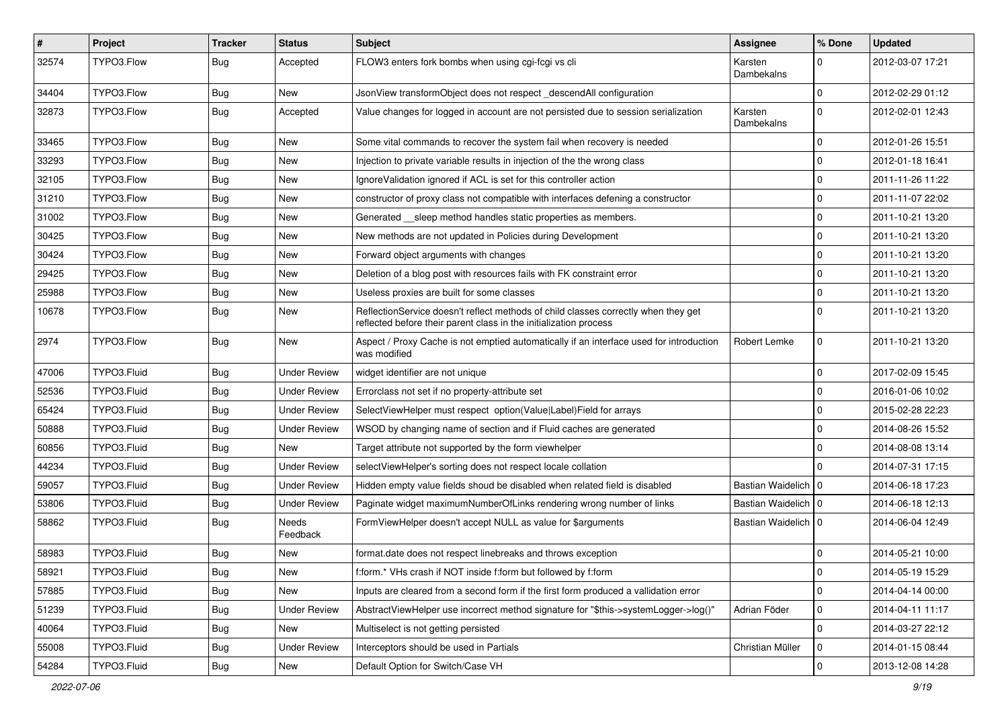| #     | Project     | <b>Tracker</b> | <b>Status</b>       | <b>Subject</b>                                                                                                                                          | Assignee              | % Done       | <b>Updated</b>   |
|-------|-------------|----------------|---------------------|---------------------------------------------------------------------------------------------------------------------------------------------------------|-----------------------|--------------|------------------|
| 32574 | TYPO3.Flow  | Bug            | Accepted            | FLOW3 enters fork bombs when using cgi-fcgi vs cli                                                                                                      | Karsten<br>Dambekalns | $\Omega$     | 2012-03-07 17:21 |
| 34404 | TYPO3.Flow  | <b>Bug</b>     | New                 | JsonView transformObject does not respect descendAll configuration                                                                                      |                       | $\mathbf 0$  | 2012-02-29 01:12 |
| 32873 | TYPO3.Flow  | Bug            | Accepted            | Value changes for logged in account are not persisted due to session serialization                                                                      | Karsten<br>Dambekalns | $\Omega$     | 2012-02-01 12:43 |
| 33465 | TYPO3.Flow  | <b>Bug</b>     | New                 | Some vital commands to recover the system fail when recovery is needed                                                                                  |                       | $\mathbf 0$  | 2012-01-26 15:51 |
| 33293 | TYPO3.Flow  | <b>Bug</b>     | New                 | Injection to private variable results in injection of the the wrong class                                                                               |                       | $\Omega$     | 2012-01-18 16:41 |
| 32105 | TYPO3.Flow  | Bug            | New                 | IgnoreValidation ignored if ACL is set for this controller action                                                                                       |                       | $\mathbf 0$  | 2011-11-26 11:22 |
| 31210 | TYPO3.Flow  | <b>Bug</b>     | New                 | constructor of proxy class not compatible with interfaces defening a constructor                                                                        |                       | $\mathbf 0$  | 2011-11-07 22:02 |
| 31002 | TYPO3.Flow  | <b>Bug</b>     | New                 | Generated __sleep method handles static properties as members.                                                                                          |                       | $\Omega$     | 2011-10-21 13:20 |
| 30425 | TYPO3.Flow  | <b>Bug</b>     | New                 | New methods are not updated in Policies during Development                                                                                              |                       | $\mathbf 0$  | 2011-10-21 13:20 |
| 30424 | TYPO3.Flow  | Bug            | New                 | Forward object arguments with changes                                                                                                                   |                       | $\mathbf{0}$ | 2011-10-21 13:20 |
| 29425 | TYPO3.Flow  | <b>Bug</b>     | New                 | Deletion of a blog post with resources fails with FK constraint error                                                                                   |                       | $\mathbf 0$  | 2011-10-21 13:20 |
| 25988 | TYPO3.Flow  | Bug            | New                 | Useless proxies are built for some classes                                                                                                              |                       | $\mathbf 0$  | 2011-10-21 13:20 |
| 10678 | TYPO3.Flow  | Bug            | New                 | ReflectionService doesn't reflect methods of child classes correctly when they get<br>reflected before their parent class in the initialization process |                       | $\Omega$     | 2011-10-21 13:20 |
| 2974  | TYPO3.Flow  | Bug            | New                 | Aspect / Proxy Cache is not emptied automatically if an interface used for introduction<br>was modified                                                 | Robert Lemke          | $\mathbf 0$  | 2011-10-21 13:20 |
| 47006 | TYPO3.Fluid | <b>Bug</b>     | Under Review        | widget identifier are not unique                                                                                                                        |                       | $\mathbf 0$  | 2017-02-09 15:45 |
| 52536 | TYPO3.Fluid | Bug            | Under Review        | Errorclass not set if no property-attribute set                                                                                                         |                       | $\mathbf 0$  | 2016-01-06 10:02 |
| 65424 | TYPO3.Fluid | <b>Bug</b>     | <b>Under Review</b> | SelectViewHelper must respect option(Value Label)Field for arrays                                                                                       |                       | $\mathbf 0$  | 2015-02-28 22:23 |
| 50888 | TYPO3.Fluid | <b>Bug</b>     | Under Review        | WSOD by changing name of section and if Fluid caches are generated                                                                                      |                       | $\mathbf 0$  | 2014-08-26 15:52 |
| 60856 | TYPO3.Fluid | <b>Bug</b>     | New                 | Target attribute not supported by the form viewhelper                                                                                                   |                       | $\Omega$     | 2014-08-08 13:14 |
| 44234 | TYPO3.Fluid | <b>Bug</b>     | <b>Under Review</b> | selectViewHelper's sorting does not respect locale collation                                                                                            |                       | $\Omega$     | 2014-07-31 17:15 |
| 59057 | TYPO3.Fluid | Bug            | <b>Under Review</b> | Hidden empty value fields shoud be disabled when related field is disabled                                                                              | Bastian Waidelich   0 |              | 2014-06-18 17:23 |
| 53806 | TYPO3.Fluid | <b>Bug</b>     | <b>Under Review</b> | Paginate widget maximumNumberOfLinks rendering wrong number of links                                                                                    | Bastian Waidelich   0 |              | 2014-06-18 12:13 |
| 58862 | TYPO3.Fluid | Bug            | Needs<br>Feedback   | FormViewHelper doesn't accept NULL as value for \$arguments                                                                                             | Bastian Waidelich   0 |              | 2014-06-04 12:49 |
| 58983 | TYPO3.Fluid | <b>Bug</b>     | New                 | format.date does not respect linebreaks and throws exception                                                                                            |                       | $\mathbf 0$  | 2014-05-21 10:00 |
| 58921 | TYPO3.Fluid | <b>Bug</b>     | New                 | f:form.* VHs crash if NOT inside f:form but followed by f:form                                                                                          |                       | $\mathbf 0$  | 2014-05-19 15:29 |
| 57885 | TYPO3.Fluid | <b>Bug</b>     | New                 | Inputs are cleared from a second form if the first form produced a vallidation error                                                                    |                       | $\mathbf 0$  | 2014-04-14 00:00 |
| 51239 | TYPO3.Fluid | <b>Bug</b>     | <b>Under Review</b> | AbstractViewHelper use incorrect method signature for "\$this->systemLogger->log()"                                                                     | Adrian Föder          | $\mathbf 0$  | 2014-04-11 11:17 |
| 40064 | TYPO3.Fluid | Bug            | New                 | Multiselect is not getting persisted                                                                                                                    |                       | $\mathbf 0$  | 2014-03-27 22:12 |
| 55008 | TYPO3.Fluid | <b>Bug</b>     | <b>Under Review</b> | Interceptors should be used in Partials                                                                                                                 | Christian Müller      | $\pmb{0}$    | 2014-01-15 08:44 |
| 54284 | TYPO3.Fluid | Bug            | New                 | Default Option for Switch/Case VH                                                                                                                       |                       | $\mathbf 0$  | 2013-12-08 14:28 |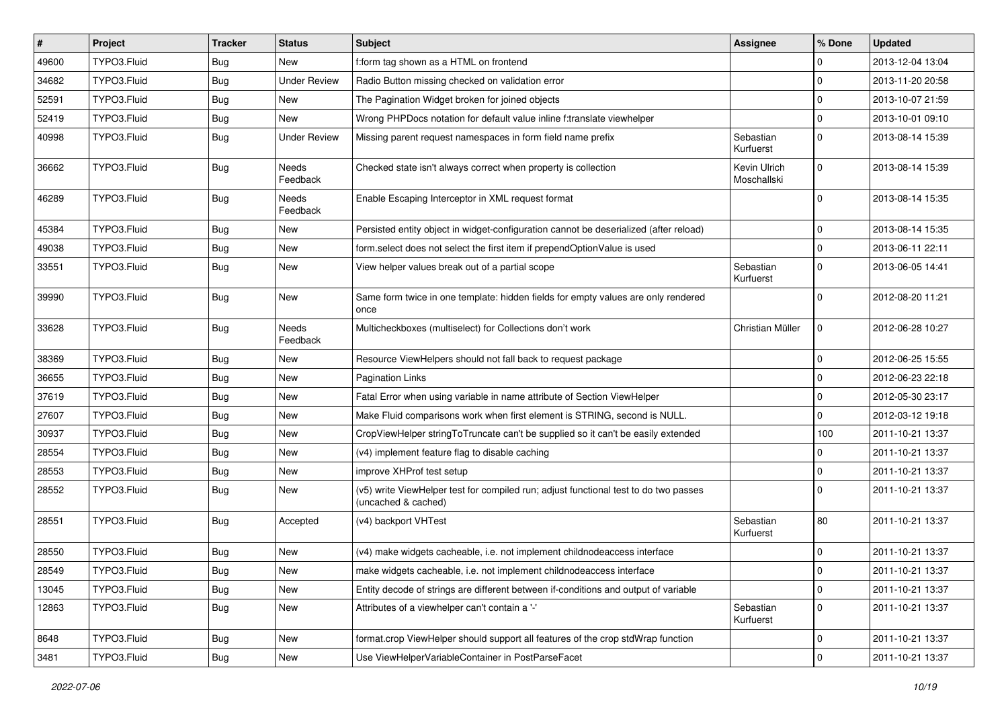| #     | Project     | <b>Tracker</b> | <b>Status</b>            | <b>Subject</b>                                                                                              | <b>Assignee</b>             | % Done       | <b>Updated</b>   |
|-------|-------------|----------------|--------------------------|-------------------------------------------------------------------------------------------------------------|-----------------------------|--------------|------------------|
| 49600 | TYPO3.Fluid | <b>Bug</b>     | New                      | f:form tag shown as a HTML on frontend                                                                      |                             | $\Omega$     | 2013-12-04 13:04 |
| 34682 | TYPO3.Fluid | Bug            | <b>Under Review</b>      | Radio Button missing checked on validation error                                                            |                             | $\Omega$     | 2013-11-20 20:58 |
| 52591 | TYPO3.Fluid | <b>Bug</b>     | New                      | The Pagination Widget broken for joined objects                                                             |                             | $\Omega$     | 2013-10-07 21:59 |
| 52419 | TYPO3.Fluid | Bug            | New                      | Wrong PHPDocs notation for default value inline f:translate viewhelper                                      |                             | $\Omega$     | 2013-10-01 09:10 |
| 40998 | TYPO3.Fluid | Bug            | <b>Under Review</b>      | Missing parent request namespaces in form field name prefix                                                 | Sebastian<br>Kurfuerst      | $\Omega$     | 2013-08-14 15:39 |
| 36662 | TYPO3.Fluid | Bug            | <b>Needs</b><br>Feedback | Checked state isn't always correct when property is collection                                              | Kevin Ulrich<br>Moschallski | $\Omega$     | 2013-08-14 15:39 |
| 46289 | TYPO3.Fluid | Bug            | Needs<br>Feedback        | Enable Escaping Interceptor in XML request format                                                           |                             | <sup>0</sup> | 2013-08-14 15:35 |
| 45384 | TYPO3.Fluid | <b>Bug</b>     | New                      | Persisted entity object in widget-configuration cannot be deserialized (after reload)                       |                             | $\Omega$     | 2013-08-14 15:35 |
| 49038 | TYPO3.Fluid | Bug            | New                      | form select does not select the first item if prependOptionValue is used                                    |                             | $\Omega$     | 2013-06-11 22:11 |
| 33551 | TYPO3.Fluid | Bug            | New                      | View helper values break out of a partial scope                                                             | Sebastian<br>Kurfuerst      | $\Omega$     | 2013-06-05 14:41 |
| 39990 | TYPO3.Fluid | Bug            | New                      | Same form twice in one template: hidden fields for empty values are only rendered<br>once                   |                             | $\Omega$     | 2012-08-20 11:21 |
| 33628 | TYPO3.Fluid | Bug            | Needs<br>Feedback        | Multicheckboxes (multiselect) for Collections don't work                                                    | Christian Müller            | $\Omega$     | 2012-06-28 10:27 |
| 38369 | TYPO3.Fluid | <b>Bug</b>     | New                      | Resource ViewHelpers should not fall back to request package                                                |                             | $\Omega$     | 2012-06-25 15:55 |
| 36655 | TYPO3.Fluid | <b>Bug</b>     | New                      | <b>Pagination Links</b>                                                                                     |                             | $\Omega$     | 2012-06-23 22:18 |
| 37619 | TYPO3.Fluid | Bug            | New                      | Fatal Error when using variable in name attribute of Section ViewHelper                                     |                             | $\Omega$     | 2012-05-30 23:17 |
| 27607 | TYPO3.Fluid | <b>Bug</b>     | New                      | Make Fluid comparisons work when first element is STRING, second is NULL.                                   |                             | $\Omega$     | 2012-03-12 19:18 |
| 30937 | TYPO3.Fluid | <b>Bug</b>     | New                      | CropViewHelper stringToTruncate can't be supplied so it can't be easily extended                            |                             | 100          | 2011-10-21 13:37 |
| 28554 | TYPO3.Fluid | <b>Bug</b>     | New                      | (v4) implement feature flag to disable caching                                                              |                             | $\Omega$     | 2011-10-21 13:37 |
| 28553 | TYPO3.Fluid | <b>Bug</b>     | New                      | improve XHProf test setup                                                                                   |                             | $\Omega$     | 2011-10-21 13:37 |
| 28552 | TYPO3.Fluid | Bug            | New                      | (v5) write ViewHelper test for compiled run; adjust functional test to do two passes<br>(uncached & cached) |                             | <sup>0</sup> | 2011-10-21 13:37 |
| 28551 | TYPO3.Fluid | Bug            | Accepted                 | (v4) backport VHTest                                                                                        | Sebastian<br>Kurfuerst      | 80           | 2011-10-21 13:37 |
| 28550 | TYPO3.Fluid | <b>Bug</b>     | New                      | (v4) make widgets cacheable, i.e. not implement childnodeaccess interface                                   |                             | $\Omega$     | 2011-10-21 13:37 |
| 28549 | TYPO3.Fluid | Bug            | New                      | make widgets cacheable, i.e. not implement childnodeaccess interface                                        |                             | $\mathbf 0$  | 2011-10-21 13:37 |
| 13045 | TYPO3.Fluid | <b>Bug</b>     | New                      | Entity decode of strings are different between if-conditions and output of variable                         |                             | $\mathbf 0$  | 2011-10-21 13:37 |
| 12863 | TYPO3.Fluid | <b>Bug</b>     | New                      | Attributes of a viewhelper can't contain a '-'                                                              | Sebastian<br>Kurfuerst      | $\mathbf 0$  | 2011-10-21 13:37 |
| 8648  | TYPO3.Fluid | <b>Bug</b>     | New                      | format.crop ViewHelper should support all features of the crop stdWrap function                             |                             | $\mathbf 0$  | 2011-10-21 13:37 |
| 3481  | TYPO3.Fluid | Bug            | New                      | Use ViewHelperVariableContainer in PostParseFacet                                                           |                             | $\mathbf{0}$ | 2011-10-21 13:37 |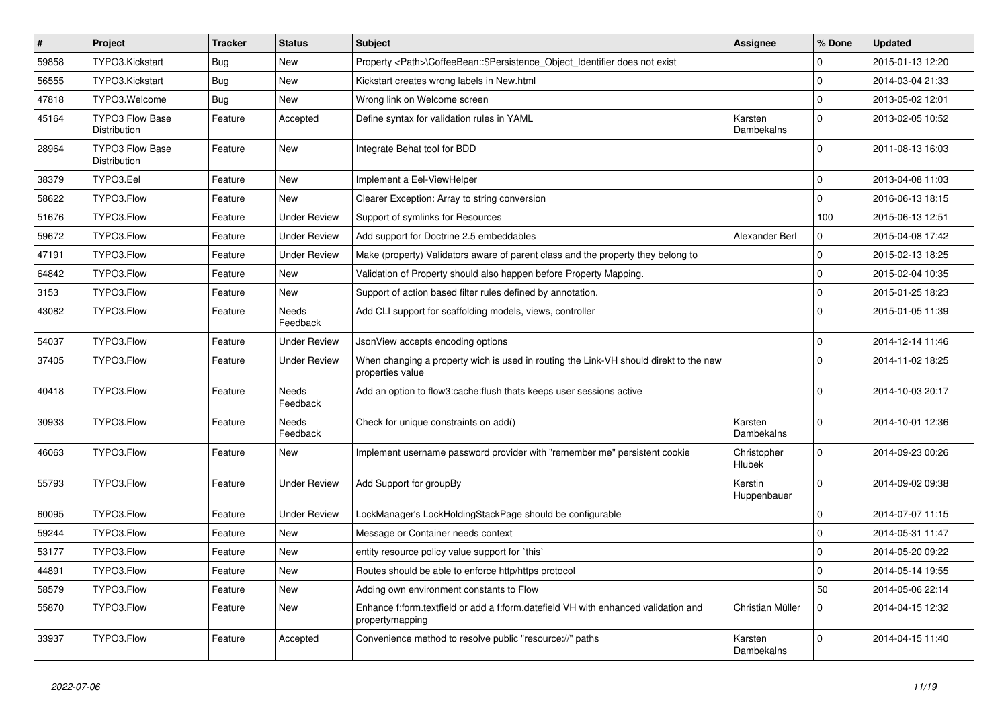| $\pmb{\#}$ | Project                                | <b>Tracker</b> | <b>Status</b>            | <b>Subject</b>                                                                                            | <b>Assignee</b>        | % Done         | <b>Updated</b>   |
|------------|----------------------------------------|----------------|--------------------------|-----------------------------------------------------------------------------------------------------------|------------------------|----------------|------------------|
| 59858      | TYPO3.Kickstart                        | Bug            | New                      | Property <path>\CoffeeBean:: \$Persistence_Object_Identifier does not exist</path>                        |                        | 0              | 2015-01-13 12:20 |
| 56555      | TYPO3.Kickstart                        | <b>Bug</b>     | New                      | Kickstart creates wrong labels in New.html                                                                |                        | $\mathbf 0$    | 2014-03-04 21:33 |
| 47818      | TYPO3.Welcome                          | <b>Bug</b>     | <b>New</b>               | Wrong link on Welcome screen                                                                              |                        | $\Omega$       | 2013-05-02 12:01 |
| 45164      | <b>TYPO3 Flow Base</b><br>Distribution | Feature        | Accepted                 | Define syntax for validation rules in YAML                                                                | Karsten<br>Dambekalns  | $\Omega$       | 2013-02-05 10:52 |
| 28964      | <b>TYPO3 Flow Base</b><br>Distribution | Feature        | <b>New</b>               | Integrate Behat tool for BDD                                                                              |                        | $\overline{0}$ | 2011-08-13 16:03 |
| 38379      | TYPO3.Eel                              | Feature        | <b>New</b>               | Implement a Eel-ViewHelper                                                                                |                        | 0              | 2013-04-08 11:03 |
| 58622      | TYPO3.Flow                             | Feature        | New                      | Clearer Exception: Array to string conversion                                                             |                        | $\mathbf{0}$   | 2016-06-13 18:15 |
| 51676      | TYPO3.Flow                             | Feature        | <b>Under Review</b>      | Support of symlinks for Resources                                                                         |                        | 100            | 2015-06-13 12:51 |
| 59672      | TYPO3.Flow                             | Feature        | <b>Under Review</b>      | Add support for Doctrine 2.5 embeddables                                                                  | Alexander Berl         | $\mathbf 0$    | 2015-04-08 17:42 |
| 47191      | TYPO3.Flow                             | Feature        | <b>Under Review</b>      | Make (property) Validators aware of parent class and the property they belong to                          |                        | $\pmb{0}$      | 2015-02-13 18:25 |
| 64842      | TYPO3.Flow                             | Feature        | New                      | Validation of Property should also happen before Property Mapping.                                        |                        | $\pmb{0}$      | 2015-02-04 10:35 |
| 3153       | TYPO3.Flow                             | Feature        | New                      | Support of action based filter rules defined by annotation.                                               |                        | $\pmb{0}$      | 2015-01-25 18:23 |
| 43082      | TYPO3.Flow                             | Feature        | Needs<br>Feedback        | Add CLI support for scaffolding models, views, controller                                                 |                        | $\Omega$       | 2015-01-05 11:39 |
| 54037      | TYPO3.Flow                             | Feature        | <b>Under Review</b>      | JsonView accepts encoding options                                                                         |                        | $\Omega$       | 2014-12-14 11:46 |
| 37405      | TYPO3.Flow                             | Feature        | <b>Under Review</b>      | When changing a property wich is used in routing the Link-VH should direkt to the new<br>properties value |                        | $\Omega$       | 2014-11-02 18:25 |
| 40418      | TYPO3.Flow                             | Feature        | <b>Needs</b><br>Feedback | Add an option to flow3: cache: flush thats keeps user sessions active                                     |                        | $\Omega$       | 2014-10-03 20:17 |
| 30933      | TYPO3.Flow                             | Feature        | Needs<br>Feedback        | Check for unique constraints on add()                                                                     | Karsten<br>Dambekalns  | $\mathbf{0}$   | 2014-10-01 12:36 |
| 46063      | TYPO3.Flow                             | Feature        | New                      | Implement username password provider with "remember me" persistent cookie                                 | Christopher<br>Hlubek  | $\mathbf 0$    | 2014-09-23 00:26 |
| 55793      | TYPO3.Flow                             | Feature        | <b>Under Review</b>      | Add Support for groupBy                                                                                   | Kerstin<br>Huppenbauer | $\overline{0}$ | 2014-09-02 09:38 |
| 60095      | TYPO3.Flow                             | Feature        | <b>Under Review</b>      | LockManager's LockHoldingStackPage should be configurable                                                 |                        | $\Omega$       | 2014-07-07 11:15 |
| 59244      | TYPO3.Flow                             | Feature        | New                      | Message or Container needs context                                                                        |                        | $\Omega$       | 2014-05-31 11:47 |
| 53177      | TYPO3.Flow                             | Feature        | New                      | entity resource policy value support for `this`                                                           |                        | $\mathbf 0$    | 2014-05-20 09:22 |
| 44891      | TYPO3.Flow                             | Feature        | New                      | Routes should be able to enforce http/https protocol                                                      |                        | $\pmb{0}$      | 2014-05-14 19:55 |
| 58579      | TYPO3.Flow                             | Feature        | New                      | Adding own environment constants to Flow                                                                  |                        | 50             | 2014-05-06 22:14 |
| 55870      | TYPO3.Flow                             | Feature        | New                      | Enhance f:form.textfield or add a f:form.datefield VH with enhanced validation and<br>propertymapping     | Christian Müller       | $\mathbf 0$    | 2014-04-15 12:32 |
| 33937      | TYPO3.Flow                             | Feature        | Accepted                 | Convenience method to resolve public "resource://" paths                                                  | Karsten<br>Dambekalns  | $\Omega$       | 2014-04-15 11:40 |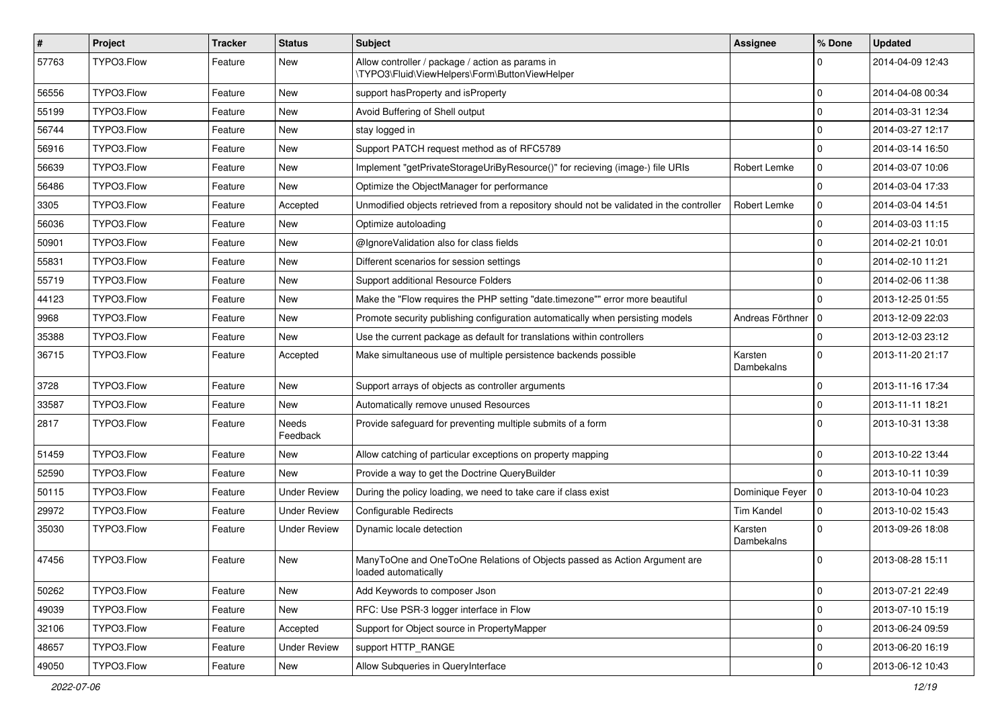| $\sharp$ | Project    | <b>Tracker</b> | <b>Status</b>       | <b>Subject</b>                                                                                     | <b>Assignee</b>       | % Done         | <b>Updated</b>   |
|----------|------------|----------------|---------------------|----------------------------------------------------------------------------------------------------|-----------------------|----------------|------------------|
| 57763    | TYPO3.Flow | Feature        | New                 | Allow controller / package / action as params in<br>\TYPO3\Fluid\ViewHelpers\Form\ButtonViewHelper |                       | $\Omega$       | 2014-04-09 12:43 |
| 56556    | TYPO3.Flow | Feature        | New                 | support has Property and is Property                                                               |                       | $\mathbf 0$    | 2014-04-08 00:34 |
| 55199    | TYPO3.Flow | Feature        | New                 | Avoid Buffering of Shell output                                                                    |                       | $\mathbf{0}$   | 2014-03-31 12:34 |
| 56744    | TYPO3.Flow | Feature        | New                 | stay logged in                                                                                     |                       | $\mathbf{0}$   | 2014-03-27 12:17 |
| 56916    | TYPO3.Flow | Feature        | New                 | Support PATCH request method as of RFC5789                                                         |                       | $\mathbf 0$    | 2014-03-14 16:50 |
| 56639    | TYPO3.Flow | Feature        | <b>New</b>          | Implement "getPrivateStorageUriByResource()" for recieving (image-) file URIs                      | Robert Lemke          | $\pmb{0}$      | 2014-03-07 10:06 |
| 56486    | TYPO3.Flow | Feature        | New                 | Optimize the ObjectManager for performance                                                         |                       | $\mathbf 0$    | 2014-03-04 17:33 |
| 3305     | TYPO3.Flow | Feature        | Accepted            | Unmodified objects retrieved from a repository should not be validated in the controller           | Robert Lemke          | 0              | 2014-03-04 14:51 |
| 56036    | TYPO3.Flow | Feature        | <b>New</b>          | Optimize autoloading                                                                               |                       | 0              | 2014-03-03 11:15 |
| 50901    | TYPO3.Flow | Feature        | New                 | @IgnoreValidation also for class fields                                                            |                       | $\mathbf 0$    | 2014-02-21 10:01 |
| 55831    | TYPO3.Flow | Feature        | New                 | Different scenarios for session settings                                                           |                       | $\mathbf 0$    | 2014-02-10 11:21 |
| 55719    | TYPO3.Flow | Feature        | New                 | Support additional Resource Folders                                                                |                       | $\mathbf{0}$   | 2014-02-06 11:38 |
| 44123    | TYPO3.Flow | Feature        | New                 | Make the "Flow requires the PHP setting "date.timezone"" error more beautiful                      |                       | $\Omega$       | 2013-12-25 01:55 |
| 9968     | TYPO3.Flow | Feature        | <b>New</b>          | Promote security publishing configuration automatically when persisting models                     | Andreas Förthner      | 0              | 2013-12-09 22:03 |
| 35388    | TYPO3.Flow | Feature        | New                 | Use the current package as default for translations within controllers                             |                       | $\mathbf 0$    | 2013-12-03 23:12 |
| 36715    | TYPO3.Flow | Feature        | Accepted            | Make simultaneous use of multiple persistence backends possible                                    | Karsten<br>Dambekalns | $\Omega$       | 2013-11-20 21:17 |
| 3728     | TYPO3.Flow | Feature        | New                 | Support arrays of objects as controller arguments                                                  |                       | $\mathbf 0$    | 2013-11-16 17:34 |
| 33587    | TYPO3.Flow | Feature        | New                 | Automatically remove unused Resources                                                              |                       | $\mathbf 0$    | 2013-11-11 18:21 |
| 2817     | TYPO3.Flow | Feature        | Needs<br>Feedback   | Provide safeguard for preventing multiple submits of a form                                        |                       | $\mathbf 0$    | 2013-10-31 13:38 |
| 51459    | TYPO3.Flow | Feature        | <b>New</b>          | Allow catching of particular exceptions on property mapping                                        |                       | $\mathbf 0$    | 2013-10-22 13:44 |
| 52590    | TYPO3.Flow | Feature        | New                 | Provide a way to get the Doctrine QueryBuilder                                                     |                       | $\mathbf{0}$   | 2013-10-11 10:39 |
| 50115    | TYPO3.Flow | Feature        | <b>Under Review</b> | During the policy loading, we need to take care if class exist                                     | Dominique Feyer       | $\overline{0}$ | 2013-10-04 10:23 |
| 29972    | TYPO3.Flow | Feature        | <b>Under Review</b> | <b>Configurable Redirects</b>                                                                      | <b>Tim Kandel</b>     | $\mathbf 0$    | 2013-10-02 15:43 |
| 35030    | TYPO3.Flow | Feature        | <b>Under Review</b> | Dynamic locale detection                                                                           | Karsten<br>Dambekalns | $\Omega$       | 2013-09-26 18:08 |
| 47456    | TYPO3.Flow | Feature        | New                 | ManyToOne and OneToOne Relations of Objects passed as Action Argument are<br>loaded automatically  |                       | 0              | 2013-08-28 15:11 |
| 50262    | TYPO3.Flow | Feature        | New                 | Add Keywords to composer Json                                                                      |                       | $\mathsf 0$    | 2013-07-21 22:49 |
| 49039    | TYPO3.Flow | Feature        | New                 | RFC: Use PSR-3 logger interface in Flow                                                            |                       | $\mathsf 0$    | 2013-07-10 15:19 |
| 32106    | TYPO3.Flow | Feature        | Accepted            | Support for Object source in PropertyMapper                                                        |                       | $\pmb{0}$      | 2013-06-24 09:59 |
| 48657    | TYPO3.Flow | Feature        | <b>Under Review</b> | support HTTP_RANGE                                                                                 |                       | 0              | 2013-06-20 16:19 |
| 49050    | TYPO3.Flow | Feature        | New                 | Allow Subqueries in QueryInterface                                                                 |                       | $\mathbf 0$    | 2013-06-12 10:43 |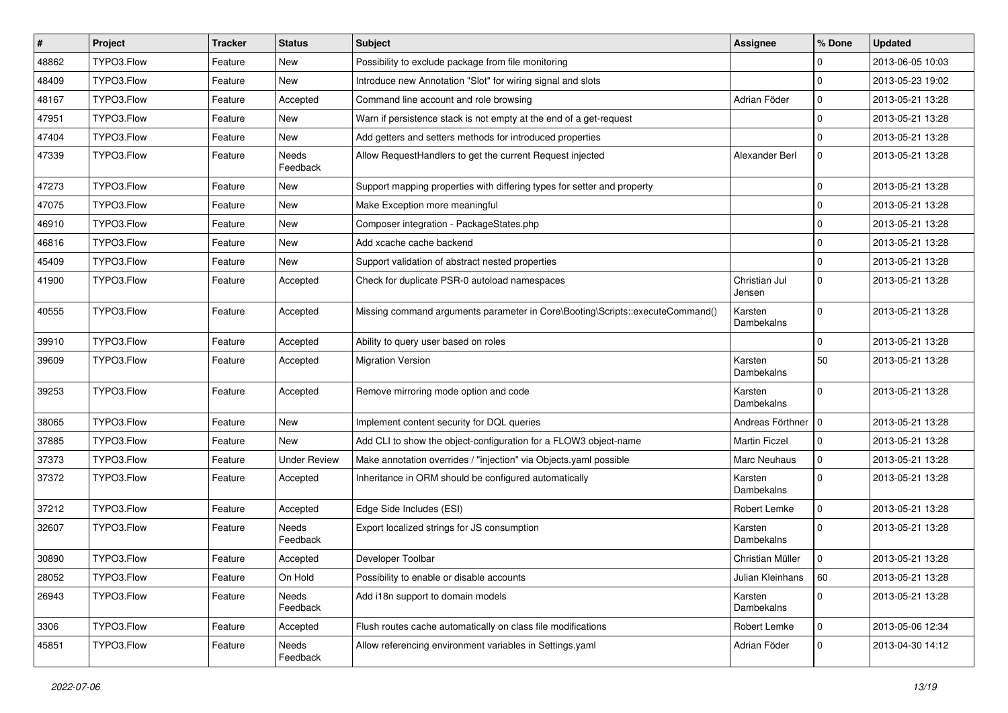| $\vert$ # | Project    | <b>Tracker</b> | <b>Status</b>       | Subject                                                                       | <b>Assignee</b>         | % Done         | <b>Updated</b>   |
|-----------|------------|----------------|---------------------|-------------------------------------------------------------------------------|-------------------------|----------------|------------------|
| 48862     | TYPO3.Flow | Feature        | New                 | Possibility to exclude package from file monitoring                           |                         | 0              | 2013-06-05 10:03 |
| 48409     | TYPO3.Flow | Feature        | New                 | Introduce new Annotation "Slot" for wiring signal and slots                   |                         | $\Omega$       | 2013-05-23 19:02 |
| 48167     | TYPO3.Flow | Feature        | Accepted            | Command line account and role browsing                                        | Adrian Föder            | $\overline{0}$ | 2013-05-21 13:28 |
| 47951     | TYPO3.Flow | Feature        | New                 | Warn if persistence stack is not empty at the end of a get-request            |                         | $\overline{0}$ | 2013-05-21 13:28 |
| 47404     | TYPO3.Flow | Feature        | New                 | Add getters and setters methods for introduced properties                     |                         | $\overline{0}$ | 2013-05-21 13:28 |
| 47339     | TYPO3.Flow | Feature        | Needs<br>Feedback   | Allow RequestHandlers to get the current Request injected                     | Alexander Berl          | $\mathbf 0$    | 2013-05-21 13:28 |
| 47273     | TYPO3.Flow | Feature        | New                 | Support mapping properties with differing types for setter and property       |                         | $\overline{0}$ | 2013-05-21 13:28 |
| 47075     | TYPO3.Flow | Feature        | New                 | Make Exception more meaningful                                                |                         | $\Omega$       | 2013-05-21 13:28 |
| 46910     | TYPO3.Flow | Feature        | New                 | Composer integration - PackageStates.php                                      |                         | $\mathbf 0$    | 2013-05-21 13:28 |
| 46816     | TYPO3.Flow | Feature        | New                 | Add xcache cache backend                                                      |                         | $\overline{0}$ | 2013-05-21 13:28 |
| 45409     | TYPO3.Flow | Feature        | New                 | Support validation of abstract nested properties                              |                         | $\overline{0}$ | 2013-05-21 13:28 |
| 41900     | TYPO3.Flow | Feature        | Accepted            | Check for duplicate PSR-0 autoload namespaces                                 | Christian Jul<br>Jensen | $\mathbf 0$    | 2013-05-21 13:28 |
| 40555     | TYPO3.Flow | Feature        | Accepted            | Missing command arguments parameter in Core\Booting\Scripts::executeCommand() | Karsten<br>Dambekalns   | $\Omega$       | 2013-05-21 13:28 |
| 39910     | TYPO3.Flow | Feature        | Accepted            | Ability to query user based on roles                                          |                         | $\Omega$       | 2013-05-21 13:28 |
| 39609     | TYPO3.Flow | Feature        | Accepted            | <b>Migration Version</b>                                                      | Karsten<br>Dambekalns   | 50             | 2013-05-21 13:28 |
| 39253     | TYPO3.Flow | Feature        | Accepted            | Remove mirroring mode option and code                                         | Karsten<br>Dambekalns   | $\Omega$       | 2013-05-21 13:28 |
| 38065     | TYPO3.Flow | Feature        | New                 | Implement content security for DQL queries                                    | Andreas Förthner   0    |                | 2013-05-21 13:28 |
| 37885     | TYPO3.Flow | Feature        | New                 | Add CLI to show the object-configuration for a FLOW3 object-name              | <b>Martin Ficzel</b>    | $\Omega$       | 2013-05-21 13:28 |
| 37373     | TYPO3.Flow | Feature        | <b>Under Review</b> | Make annotation overrides / "injection" via Objects.yaml possible             | Marc Neuhaus            | $\overline{0}$ | 2013-05-21 13:28 |
| 37372     | TYPO3.Flow | Feature        | Accepted            | Inheritance in ORM should be configured automatically                         | Karsten<br>Dambekalns   | $\Omega$       | 2013-05-21 13:28 |
| 37212     | TYPO3.Flow | Feature        | Accepted            | Edge Side Includes (ESI)                                                      | Robert Lemke            | $\overline{0}$ | 2013-05-21 13:28 |
| 32607     | TYPO3.Flow | Feature        | Needs<br>Feedback   | Export localized strings for JS consumption                                   | Karsten<br>Dambekalns   | $\Omega$       | 2013-05-21 13:28 |
| 30890     | TYPO3.Flow | Feature        | Accepted            | Developer Toolbar                                                             | Christian Müller        | $\Omega$       | 2013-05-21 13:28 |
| 28052     | TYPO3.Flow | Feature        | On Hold             | Possibility to enable or disable accounts                                     | Julian Kleinhans        | 60             | 2013-05-21 13:28 |
| 26943     | TYPO3.Flow | Feature        | Needs<br>Feedback   | Add i18n support to domain models                                             | Karsten<br>Dambekalns   | $\mathbf 0$    | 2013-05-21 13:28 |
| 3306      | TYPO3.Flow | Feature        | Accepted            | Flush routes cache automatically on class file modifications                  | Robert Lemke            | $\overline{0}$ | 2013-05-06 12:34 |
| 45851     | TYPO3.Flow | Feature        | Needs<br>Feedback   | Allow referencing environment variables in Settings.yaml                      | Adrian Föder            | $\overline{0}$ | 2013-04-30 14:12 |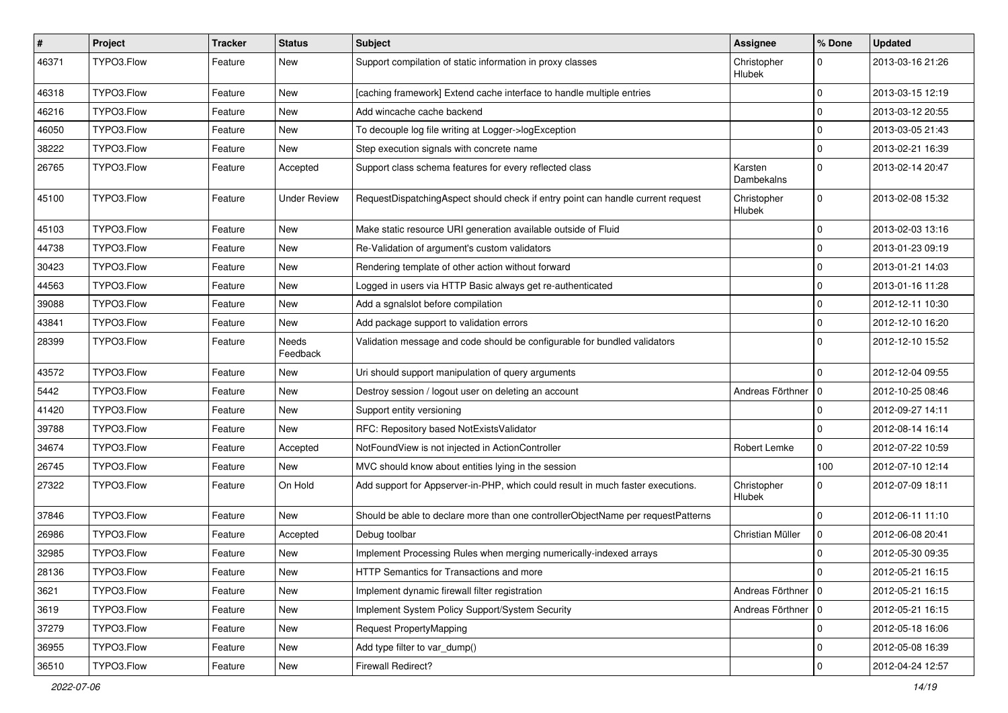| $\sharp$ | Project    | <b>Tracker</b> | <b>Status</b>       | Subject                                                                          | <b>Assignee</b>       | % Done       | <b>Updated</b>   |
|----------|------------|----------------|---------------------|----------------------------------------------------------------------------------|-----------------------|--------------|------------------|
| 46371    | TYPO3.Flow | Feature        | New                 | Support compilation of static information in proxy classes                       | Christopher<br>Hlubek | 0            | 2013-03-16 21:26 |
| 46318    | TYPO3.Flow | Feature        | New                 | [caching framework] Extend cache interface to handle multiple entries            |                       | $\mathbf 0$  | 2013-03-15 12:19 |
| 46216    | TYPO3.Flow | Feature        | New                 | Add wincache cache backend                                                       |                       | $\mathbf 0$  | 2013-03-12 20:55 |
| 46050    | TYPO3.Flow | Feature        | New                 | To decouple log file writing at Logger->logException                             |                       | $\mathbf 0$  | 2013-03-05 21:43 |
| 38222    | TYPO3.Flow | Feature        | New                 | Step execution signals with concrete name                                        |                       | 0            | 2013-02-21 16:39 |
| 26765    | TYPO3.Flow | Feature        | Accepted            | Support class schema features for every reflected class                          | Karsten<br>Dambekalns | $\mathbf 0$  | 2013-02-14 20:47 |
| 45100    | TYPO3.Flow | Feature        | <b>Under Review</b> | RequestDispatchingAspect should check if entry point can handle current request  | Christopher<br>Hlubek | $\mathbf 0$  | 2013-02-08 15:32 |
| 45103    | TYPO3.Flow | Feature        | New                 | Make static resource URI generation available outside of Fluid                   |                       | $\mathbf 0$  | 2013-02-03 13:16 |
| 44738    | TYPO3.Flow | Feature        | New                 | Re-Validation of argument's custom validators                                    |                       | 0            | 2013-01-23 09:19 |
| 30423    | TYPO3.Flow | Feature        | New                 | Rendering template of other action without forward                               |                       | $\mathbf 0$  | 2013-01-21 14:03 |
| 44563    | TYPO3.Flow | Feature        | New                 | Logged in users via HTTP Basic always get re-authenticated                       |                       | 0            | 2013-01-16 11:28 |
| 39088    | TYPO3.Flow | Feature        | New                 | Add a sqnalslot before compilation                                               |                       | $\mathbf 0$  | 2012-12-11 10:30 |
| 43841    | TYPO3.Flow | Feature        | New                 | Add package support to validation errors                                         |                       | 0            | 2012-12-10 16:20 |
| 28399    | TYPO3.Flow | Feature        | Needs<br>Feedback   | Validation message and code should be configurable for bundled validators        |                       | $\Omega$     | 2012-12-10 15:52 |
| 43572    | TYPO3.Flow | Feature        | New                 | Uri should support manipulation of query arguments                               |                       | $\Omega$     | 2012-12-04 09:55 |
| 5442     | TYPO3.Flow | Feature        | New                 | Destroy session / logout user on deleting an account                             | Andreas Förthner      | 10           | 2012-10-25 08:46 |
| 41420    | TYPO3.Flow | Feature        | New                 | Support entity versioning                                                        |                       | $\mathbf 0$  | 2012-09-27 14:11 |
| 39788    | TYPO3.Flow | Feature        | New                 | RFC: Repository based NotExistsValidator                                         |                       | $\mathbf 0$  | 2012-08-14 16:14 |
| 34674    | TYPO3.Flow | Feature        | Accepted            | NotFoundView is not injected in ActionController                                 | Robert Lemke          | $\mathbf{0}$ | 2012-07-22 10:59 |
| 26745    | TYPO3.Flow | Feature        | New                 | MVC should know about entities lying in the session                              |                       | 100          | 2012-07-10 12:14 |
| 27322    | TYPO3.Flow | Feature        | On Hold             | Add support for Appserver-in-PHP, which could result in much faster executions.  | Christopher<br>Hlubek | $\mathbf 0$  | 2012-07-09 18:11 |
| 37846    | TYPO3.Flow | Feature        | New                 | Should be able to declare more than one controllerObjectName per requestPatterns |                       | $\mathbf 0$  | 2012-06-11 11:10 |
| 26986    | TYPO3.Flow | Feature        | Accepted            | Debug toolbar                                                                    | Christian Müller      | $\mathbf 0$  | 2012-06-08 20:41 |
| 32985    | TYPO3.Flow | Feature        | New                 | Implement Processing Rules when merging numerically-indexed arrays               |                       | 0            | 2012-05-30 09:35 |
| 28136    | TYPO3.Flow | Feature        | New                 | HTTP Semantics for Transactions and more                                         |                       | $\cup$       | 2012-05-21 16:15 |
| 3621     | TYPO3.Flow | Feature        | New                 | Implement dynamic firewall filter registration                                   | Andreas Förthner   0  |              | 2012-05-21 16:15 |
| 3619     | TYPO3.Flow | Feature        | New                 | Implement System Policy Support/System Security                                  | Andreas Förthner   0  |              | 2012-05-21 16:15 |
| 37279    | TYPO3.Flow | Feature        | New                 | Request PropertyMapping                                                          |                       | $\mathbf 0$  | 2012-05-18 16:06 |
| 36955    | TYPO3.Flow | Feature        | New                 | Add type filter to var_dump()                                                    |                       | 0            | 2012-05-08 16:39 |
| 36510    | TYPO3.Flow | Feature        | New                 | Firewall Redirect?                                                               |                       | $\mathbf 0$  | 2012-04-24 12:57 |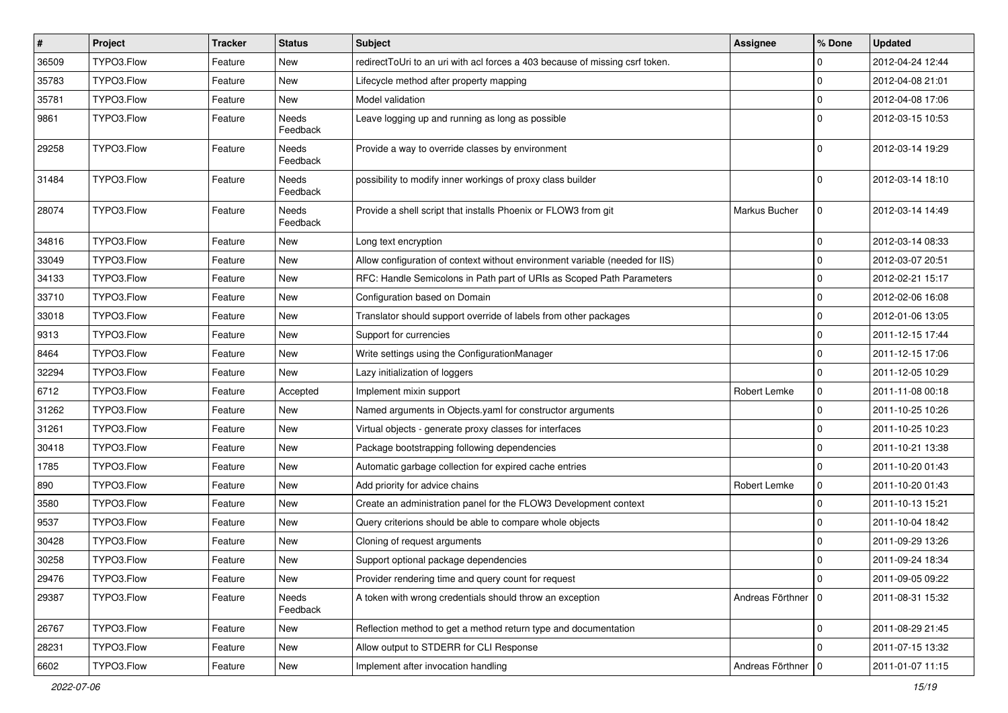| $\sharp$ | Project    | <b>Tracker</b> | <b>Status</b>     | Subject                                                                      | <b>Assignee</b>      | % Done       | <b>Updated</b>   |
|----------|------------|----------------|-------------------|------------------------------------------------------------------------------|----------------------|--------------|------------------|
| 36509    | TYPO3.Flow | Feature        | New               | redirectToUri to an uri with acl forces a 403 because of missing csrf token. |                      | 0            | 2012-04-24 12:44 |
| 35783    | TYPO3.Flow | Feature        | <b>New</b>        | Lifecycle method after property mapping                                      |                      | 0            | 2012-04-08 21:01 |
| 35781    | TYPO3.Flow | Feature        | New               | Model validation                                                             |                      | $\mathbf 0$  | 2012-04-08 17:06 |
| 9861     | TYPO3.Flow | Feature        | Needs<br>Feedback | Leave logging up and running as long as possible                             |                      | $\mathbf 0$  | 2012-03-15 10:53 |
| 29258    | TYPO3.Flow | Feature        | Needs<br>Feedback | Provide a way to override classes by environment                             |                      | $\mathbf 0$  | 2012-03-14 19:29 |
| 31484    | TYPO3.Flow | Feature        | Needs<br>Feedback | possibility to modify inner workings of proxy class builder                  |                      | $\mathbf 0$  | 2012-03-14 18:10 |
| 28074    | TYPO3.Flow | Feature        | Needs<br>Feedback | Provide a shell script that installs Phoenix or FLOW3 from git               | Markus Bucher        | $\mathbf{0}$ | 2012-03-14 14:49 |
| 34816    | TYPO3.Flow | Feature        | New               | Long text encryption                                                         |                      | $\mathbf 0$  | 2012-03-14 08:33 |
| 33049    | TYPO3.Flow | Feature        | New               | Allow configuration of context without environment variable (needed for IIS) |                      | 0            | 2012-03-07 20:51 |
| 34133    | TYPO3.Flow | Feature        | New               | RFC: Handle Semicolons in Path part of URIs as Scoped Path Parameters        |                      | $\pmb{0}$    | 2012-02-21 15:17 |
| 33710    | TYPO3.Flow | Feature        | New               | Configuration based on Domain                                                |                      | $\mathbf 0$  | 2012-02-06 16:08 |
| 33018    | TYPO3.Flow | Feature        | New               | Translator should support override of labels from other packages             |                      | $\mathbf 0$  | 2012-01-06 13:05 |
| 9313     | TYPO3.Flow | Feature        | New               | Support for currencies                                                       |                      | $\mathbf 0$  | 2011-12-15 17:44 |
| 8464     | TYPO3.Flow | Feature        | <b>New</b>        | Write settings using the ConfigurationManager                                |                      | 0            | 2011-12-15 17:06 |
| 32294    | TYPO3.Flow | Feature        | New               | Lazy initialization of loggers                                               |                      | $\mathbf{0}$ | 2011-12-05 10:29 |
| 6712     | TYPO3.Flow | Feature        | Accepted          | Implement mixin support                                                      | Robert Lemke         | $\mathbf 0$  | 2011-11-08 00:18 |
| 31262    | TYPO3.Flow | Feature        | New               | Named arguments in Objects.yaml for constructor arguments                    |                      | $\mathbf 0$  | 2011-10-25 10:26 |
| 31261    | TYPO3.Flow | Feature        | New               | Virtual objects - generate proxy classes for interfaces                      |                      | 0            | 2011-10-25 10:23 |
| 30418    | TYPO3.Flow | Feature        | <b>New</b>        | Package bootstrapping following dependencies                                 |                      | $\mathbf 0$  | 2011-10-21 13:38 |
| 1785     | TYPO3.Flow | Feature        | New               | Automatic garbage collection for expired cache entries                       |                      | 0            | 2011-10-20 01:43 |
| 890      | TYPO3.Flow | Feature        | New               | Add priority for advice chains                                               | Robert Lemke         | $\mathbf 0$  | 2011-10-20 01:43 |
| 3580     | TYPO3.Flow | Feature        | <b>New</b>        | Create an administration panel for the FLOW3 Development context             |                      | $\mathbf 0$  | 2011-10-13 15:21 |
| 9537     | TYPO3.Flow | Feature        | New               | Query criterions should be able to compare whole objects                     |                      | 0            | 2011-10-04 18:42 |
| 30428    | TYPO3.Flow | Feature        | New               | Cloning of request arguments                                                 |                      | $\mathbf 0$  | 2011-09-29 13:26 |
| 30258    | TYPO3.Flow | Feature        | New               | Support optional package dependencies                                        |                      | 0            | 2011-09-24 18:34 |
| 29476    | TYPO3.Flow | Feature        | New               | Provider rendering time and query count for request                          |                      | 0            | 2011-09-05 09:22 |
| 29387    | TYPO3.Flow | Feature        | Needs<br>Feedback | A token with wrong credentials should throw an exception                     | Andreas Förthner   0 |              | 2011-08-31 15:32 |
| 26767    | TYPO3.Flow | Feature        | New               | Reflection method to get a method return type and documentation              |                      | $\mathbf 0$  | 2011-08-29 21:45 |
| 28231    | TYPO3.Flow | Feature        | New               | Allow output to STDERR for CLI Response                                      |                      | $\mathbf 0$  | 2011-07-15 13:32 |
| 6602     | TYPO3.Flow | Feature        | New               | Implement after invocation handling                                          | Andreas Förthner   0 |              | 2011-01-07 11:15 |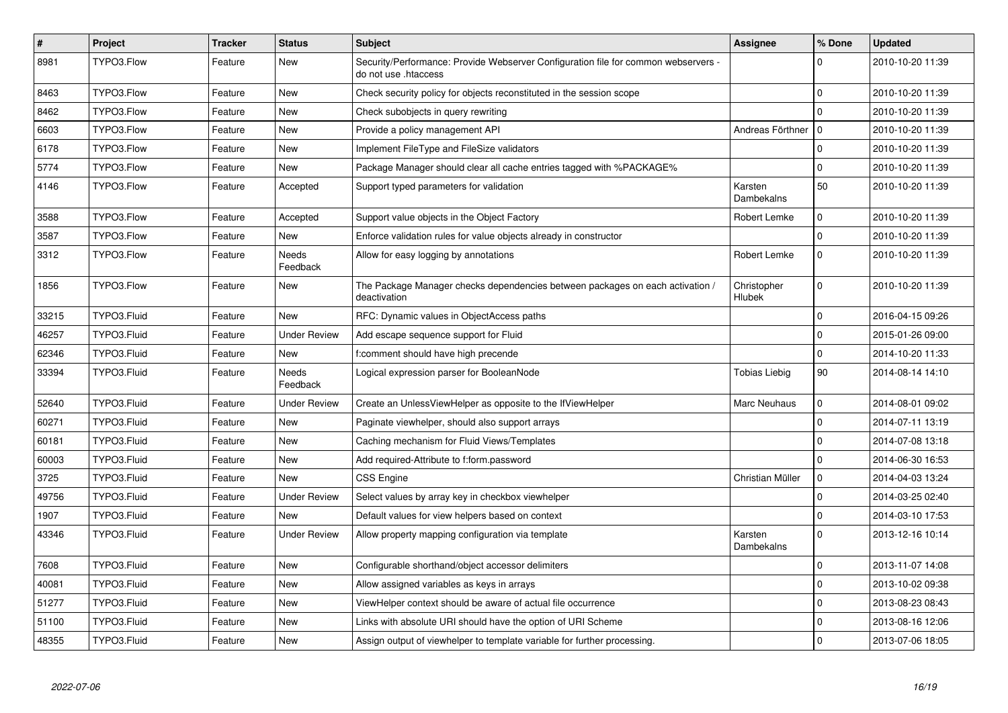| $\pmb{\#}$ | Project     | <b>Tracker</b> | <b>Status</b>            | <b>Subject</b>                                                                                             | <b>Assignee</b>       | % Done       | <b>Updated</b>   |
|------------|-------------|----------------|--------------------------|------------------------------------------------------------------------------------------------------------|-----------------------|--------------|------------------|
| 8981       | TYPO3.Flow  | Feature        | New                      | Security/Performance: Provide Webserver Configuration file for common webservers -<br>do not use .htaccess |                       | $\Omega$     | 2010-10-20 11:39 |
| 8463       | TYPO3.Flow  | Feature        | New                      | Check security policy for objects reconstituted in the session scope                                       |                       | $\Omega$     | 2010-10-20 11:39 |
| 8462       | TYPO3.Flow  | Feature        | New                      | Check subobjects in query rewriting                                                                        |                       | 0            | 2010-10-20 11:39 |
| 6603       | TYPO3.Flow  | Feature        | New                      | Provide a policy management API                                                                            | Andreas Förthner      | l o          | 2010-10-20 11:39 |
| 6178       | TYPO3.Flow  | Feature        | New                      | Implement FileType and FileSize validators                                                                 |                       | $\mathbf 0$  | 2010-10-20 11:39 |
| 5774       | TYPO3.Flow  | Feature        | <b>New</b>               | Package Manager should clear all cache entries tagged with %PACKAGE%                                       |                       | $\mathbf{0}$ | 2010-10-20 11:39 |
| 4146       | TYPO3.Flow  | Feature        | Accepted                 | Support typed parameters for validation                                                                    | Karsten<br>Dambekalns | 50           | 2010-10-20 11:39 |
| 3588       | TYPO3.Flow  | Feature        | Accepted                 | Support value objects in the Object Factory                                                                | Robert Lemke          | $\mathbf 0$  | 2010-10-20 11:39 |
| 3587       | TYPO3.Flow  | Feature        | New                      | Enforce validation rules for value objects already in constructor                                          |                       | $\Omega$     | 2010-10-20 11:39 |
| 3312       | TYPO3.Flow  | Feature        | <b>Needs</b><br>Feedback | Allow for easy logging by annotations                                                                      | Robert Lemke          | $\mathbf 0$  | 2010-10-20 11:39 |
| 1856       | TYPO3.Flow  | Feature        | New                      | The Package Manager checks dependencies between packages on each activation /<br>deactivation              | Christopher<br>Hlubek | 0            | 2010-10-20 11:39 |
| 33215      | TYPO3.Fluid | Feature        | <b>New</b>               | RFC: Dynamic values in ObjectAccess paths                                                                  |                       | $\pmb{0}$    | 2016-04-15 09:26 |
| 46257      | TYPO3.Fluid | Feature        | <b>Under Review</b>      | Add escape sequence support for Fluid                                                                      |                       | $\Omega$     | 2015-01-26 09:00 |
| 62346      | TYPO3.Fluid | Feature        | <b>New</b>               | f:comment should have high precende                                                                        |                       | $\pmb{0}$    | 2014-10-20 11:33 |
| 33394      | TYPO3.Fluid | Feature        | Needs<br>Feedback        | Logical expression parser for BooleanNode                                                                  | Tobias Liebig         | 90           | 2014-08-14 14:10 |
| 52640      | TYPO3.Fluid | Feature        | <b>Under Review</b>      | Create an UnlessViewHelper as opposite to the IfViewHelper                                                 | Marc Neuhaus          | $\pmb{0}$    | 2014-08-01 09:02 |
| 60271      | TYPO3.Fluid | Feature        | <b>New</b>               | Paginate viewhelper, should also support arrays                                                            |                       | $\mathbf 0$  | 2014-07-11 13:19 |
| 60181      | TYPO3.Fluid | Feature        | <b>New</b>               | Caching mechanism for Fluid Views/Templates                                                                |                       | $\mathbf{0}$ | 2014-07-08 13:18 |
| 60003      | TYPO3.Fluid | Feature        | New                      | Add required-Attribute to f:form.password                                                                  |                       | $\mathbf 0$  | 2014-06-30 16:53 |
| 3725       | TYPO3.Fluid | Feature        | New                      | <b>CSS Engine</b>                                                                                          | Christian Müller      | $\mathbf 0$  | 2014-04-03 13:24 |
| 49756      | TYPO3.Fluid | Feature        | Under Review             | Select values by array key in checkbox viewhelper                                                          |                       | $\pmb{0}$    | 2014-03-25 02:40 |
| 1907       | TYPO3.Fluid | Feature        | <b>New</b>               | Default values for view helpers based on context                                                           |                       | $\mathbf{0}$ | 2014-03-10 17:53 |
| 43346      | TYPO3.Fluid | Feature        | <b>Under Review</b>      | Allow property mapping configuration via template                                                          | Karsten<br>Dambekalns | $\Omega$     | 2013-12-16 10:14 |
| 7608       | TYPO3.Fluid | Feature        | <b>New</b>               | Configurable shorthand/object accessor delimiters                                                          |                       | $\mathbf{0}$ | 2013-11-07 14:08 |
| 40081      | TYPO3.Fluid | Feature        | <b>New</b>               | Allow assigned variables as keys in arrays                                                                 |                       | $\mathbf{0}$ | 2013-10-02 09:38 |
| 51277      | TYPO3.Fluid | Feature        | New                      | ViewHelper context should be aware of actual file occurrence                                               |                       | $\mathbf{0}$ | 2013-08-23 08:43 |
| 51100      | TYPO3.Fluid | Feature        | New                      | Links with absolute URI should have the option of URI Scheme                                               |                       | $\pmb{0}$    | 2013-08-16 12:06 |
| 48355      | TYPO3.Fluid | Feature        | New                      | Assign output of viewhelper to template variable for further processing.                                   |                       | $\mathbf 0$  | 2013-07-06 18:05 |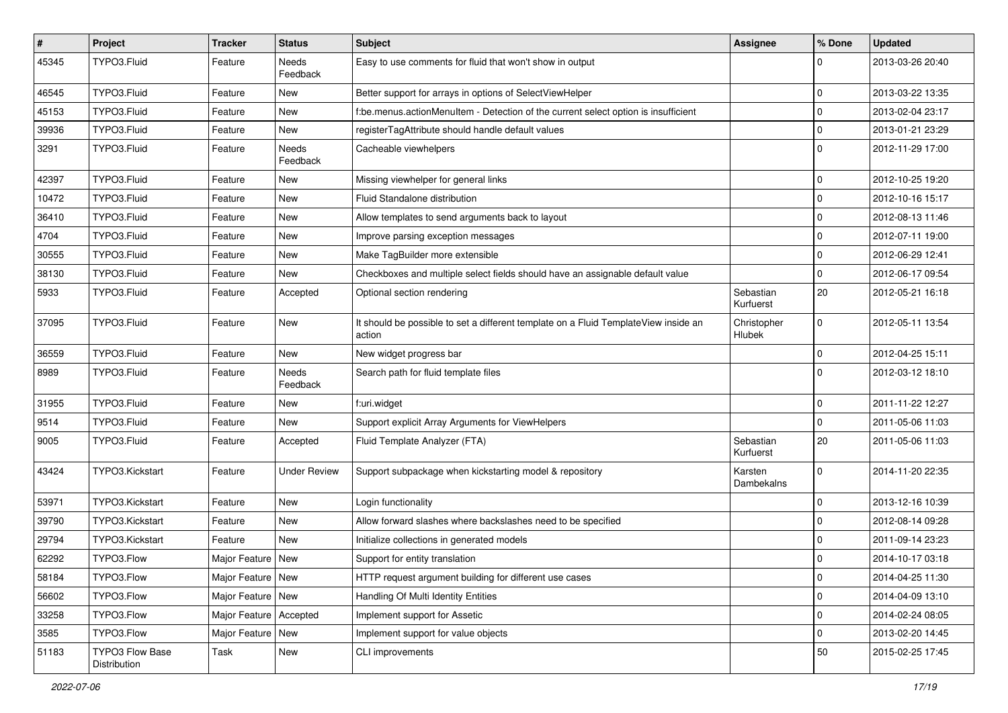| $\sharp$ | Project                                | <b>Tracker</b>      | <b>Status</b>       | <b>Subject</b>                                                                                | <b>Assignee</b>        | % Done      | <b>Updated</b>   |
|----------|----------------------------------------|---------------------|---------------------|-----------------------------------------------------------------------------------------------|------------------------|-------------|------------------|
| 45345    | TYPO3.Fluid                            | Feature             | Needs<br>Feedback   | Easy to use comments for fluid that won't show in output                                      |                        | 0           | 2013-03-26 20:40 |
| 46545    | TYPO3.Fluid                            | Feature             | New                 | Better support for arrays in options of SelectViewHelper                                      |                        | $\mathbf 0$ | 2013-03-22 13:35 |
| 45153    | TYPO3.Fluid                            | Feature             | New                 | f:be.menus.actionMenuItem - Detection of the current select option is insufficient            |                        | $\pmb{0}$   | 2013-02-04 23:17 |
| 39936    | TYPO3.Fluid                            | Feature             | New                 | registerTagAttribute should handle default values                                             |                        | $\mathbf 0$ | 2013-01-21 23:29 |
| 3291     | TYPO3.Fluid                            | Feature             | Needs<br>Feedback   | Cacheable viewhelpers                                                                         |                        | $\mathbf 0$ | 2012-11-29 17:00 |
| 42397    | TYPO3.Fluid                            | Feature             | New                 | Missing viewhelper for general links                                                          |                        | 0           | 2012-10-25 19:20 |
| 10472    | TYPO3.Fluid                            | Feature             | New                 | Fluid Standalone distribution                                                                 |                        | $\mathbf 0$ | 2012-10-16 15:17 |
| 36410    | TYPO3.Fluid                            | Feature             | <b>New</b>          | Allow templates to send arguments back to layout                                              |                        | $\mathbf 0$ | 2012-08-13 11:46 |
| 4704     | TYPO3.Fluid                            | Feature             | New                 | Improve parsing exception messages                                                            |                        | $\pmb{0}$   | 2012-07-11 19:00 |
| 30555    | TYPO3.Fluid                            | Feature             | New                 | Make TagBuilder more extensible                                                               |                        | $\mathbf 0$ | 2012-06-29 12:41 |
| 38130    | TYPO3.Fluid                            | Feature             | <b>New</b>          | Checkboxes and multiple select fields should have an assignable default value                 |                        | $\mathbf 0$ | 2012-06-17 09:54 |
| 5933     | TYPO3.Fluid                            | Feature             | Accepted            | Optional section rendering                                                                    | Sebastian<br>Kurfuerst | 20          | 2012-05-21 16:18 |
| 37095    | TYPO3.Fluid                            | Feature             | New                 | It should be possible to set a different template on a Fluid TemplateView inside an<br>action | Christopher<br>Hlubek  | $\mathbf 0$ | 2012-05-11 13:54 |
| 36559    | TYPO3.Fluid                            | Feature             | New                 | New widget progress bar                                                                       |                        | 0           | 2012-04-25 15:11 |
| 8989     | TYPO3.Fluid                            | Feature             | Needs<br>Feedback   | Search path for fluid template files                                                          |                        | $\Omega$    | 2012-03-12 18:10 |
| 31955    | TYPO3.Fluid                            | Feature             | <b>New</b>          | f:uri.widget                                                                                  |                        | 0           | 2011-11-22 12:27 |
| 9514     | TYPO3.Fluid                            | Feature             | New                 | Support explicit Array Arguments for ViewHelpers                                              |                        | 0           | 2011-05-06 11:03 |
| 9005     | TYPO3.Fluid                            | Feature             | Accepted            | Fluid Template Analyzer (FTA)                                                                 | Sebastian<br>Kurfuerst | 20          | 2011-05-06 11:03 |
| 43424    | TYPO3.Kickstart                        | Feature             | <b>Under Review</b> | Support subpackage when kickstarting model & repository                                       | Karsten<br>Dambekalns  | $\Omega$    | 2014-11-20 22:35 |
| 53971    | TYPO3.Kickstart                        | Feature             | New                 | Login functionality                                                                           |                        | $\mathbf 0$ | 2013-12-16 10:39 |
| 39790    | TYPO3.Kickstart                        | Feature             | New                 | Allow forward slashes where backslashes need to be specified                                  |                        | $\mathbf 0$ | 2012-08-14 09:28 |
| 29794    | TYPO3.Kickstart                        | Feature             | <b>New</b>          | Initialize collections in generated models                                                    |                        | 0           | 2011-09-14 23:23 |
| 62292    | TYPO3.Flow                             | Major Feature       | New                 | Support for entity translation                                                                |                        | $\mathbf 0$ | 2014-10-17 03:18 |
| 58184    | TYPO3.Flow                             | Major Feature   New |                     | HTTP request argument building for different use cases                                        |                        | $\pmb{0}$   | 2014-04-25 11:30 |
| 56602    | TYPO3.Flow                             | Major Feature   New |                     | Handling Of Multi Identity Entities                                                           |                        | $\mathbf 0$ | 2014-04-09 13:10 |
| 33258    | TYPO3.Flow                             | Major Feature       | Accepted            | Implement support for Assetic                                                                 |                        | 0           | 2014-02-24 08:05 |
| 3585     | TYPO3.Flow                             | Major Feature       | New                 | Implement support for value objects                                                           |                        | 0           | 2013-02-20 14:45 |
| 51183    | <b>TYPO3 Flow Base</b><br>Distribution | Task                | New                 | CLI improvements                                                                              |                        | 50          | 2015-02-25 17:45 |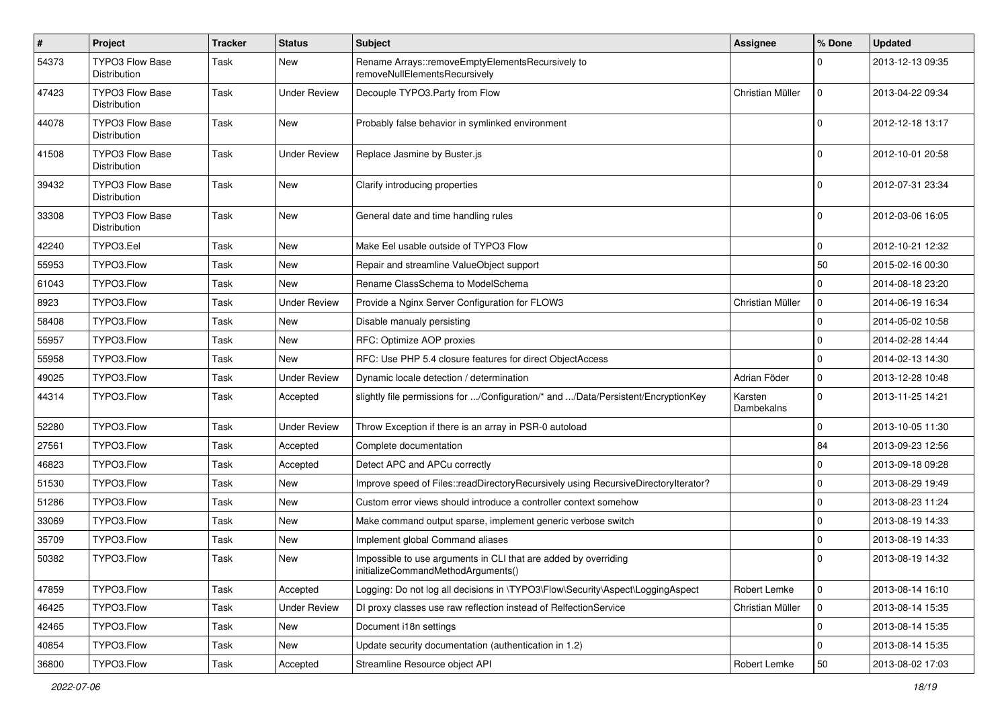| $\pmb{\#}$ | Project                                | <b>Tracker</b> | <b>Status</b>       | <b>Subject</b>                                                                                        | <b>Assignee</b>       | % Done      | <b>Updated</b>   |
|------------|----------------------------------------|----------------|---------------------|-------------------------------------------------------------------------------------------------------|-----------------------|-------------|------------------|
| 54373      | TYPO3 Flow Base<br>Distribution        | Task           | New                 | Rename Arrays::removeEmptyElementsRecursively to<br>removeNullElementsRecursively                     |                       | $\Omega$    | 2013-12-13 09:35 |
| 47423      | <b>TYPO3 Flow Base</b><br>Distribution | Task           | Under Review        | Decouple TYPO3.Party from Flow                                                                        | Christian Müller      | $\mathbf 0$ | 2013-04-22 09:34 |
| 44078      | <b>TYPO3 Flow Base</b><br>Distribution | Task           | New                 | Probably false behavior in symlinked environment                                                      |                       | $\Omega$    | 2012-12-18 13:17 |
| 41508      | <b>TYPO3 Flow Base</b><br>Distribution | Task           | Under Review        | Replace Jasmine by Buster.js                                                                          |                       | $\Omega$    | 2012-10-01 20:58 |
| 39432      | TYPO3 Flow Base<br>Distribution        | Task           | New                 | Clarify introducing properties                                                                        |                       | $\Omega$    | 2012-07-31 23:34 |
| 33308      | <b>TYPO3 Flow Base</b><br>Distribution | Task           | New                 | General date and time handling rules                                                                  |                       | $\Omega$    | 2012-03-06 16:05 |
| 42240      | TYPO3.Eel                              | Task           | <b>New</b>          | Make Eel usable outside of TYPO3 Flow                                                                 |                       | $\mathbf 0$ | 2012-10-21 12:32 |
| 55953      | TYPO3.Flow                             | Task           | New                 | Repair and streamline ValueObject support                                                             |                       | 50          | 2015-02-16 00:30 |
| 61043      | TYPO3.Flow                             | Task           | New                 | Rename ClassSchema to ModelSchema                                                                     |                       | $\mathbf 0$ | 2014-08-18 23:20 |
| 8923       | TYPO3.Flow                             | Task           | <b>Under Review</b> | Provide a Nginx Server Configuration for FLOW3                                                        | Christian Müller      | 0           | 2014-06-19 16:34 |
| 58408      | TYPO3.Flow                             | Task           | New                 | Disable manualy persisting                                                                            |                       | $\mathbf 0$ | 2014-05-02 10:58 |
| 55957      | TYPO3.Flow                             | Task           | New                 | RFC: Optimize AOP proxies                                                                             |                       | $\mathbf 0$ | 2014-02-28 14:44 |
| 55958      | TYPO3.Flow                             | Task           | New                 | RFC: Use PHP 5.4 closure features for direct ObjectAccess                                             |                       | $\Omega$    | 2014-02-13 14:30 |
| 49025      | TYPO3.Flow                             | Task           | <b>Under Review</b> | Dynamic locale detection / determination                                                              | Adrian Föder          | 0           | 2013-12-28 10:48 |
| 44314      | TYPO3.Flow                             | Task           | Accepted            | slightly file permissions for /Configuration/* and /Data/Persistent/EncryptionKey                     | Karsten<br>Dambekalns | $\Omega$    | 2013-11-25 14:21 |
| 52280      | TYPO3.Flow                             | Task           | <b>Under Review</b> | Throw Exception if there is an array in PSR-0 autoload                                                |                       | $\mathbf 0$ | 2013-10-05 11:30 |
| 27561      | TYPO3.Flow                             | Task           | Accepted            | Complete documentation                                                                                |                       | 84          | 2013-09-23 12:56 |
| 46823      | TYPO3.Flow                             | Task           | Accepted            | Detect APC and APCu correctly                                                                         |                       | $\mathbf 0$ | 2013-09-18 09:28 |
| 51530      | TYPO3.Flow                             | Task           | New                 | Improve speed of Files::readDirectoryRecursively using RecursiveDirectoryIterator?                    |                       | $\mathbf 0$ | 2013-08-29 19:49 |
| 51286      | TYPO3.Flow                             | Task           | New                 | Custom error views should introduce a controller context somehow                                      |                       | $\mathbf 0$ | 2013-08-23 11:24 |
| 33069      | TYPO3.Flow                             | Task           | New                 | Make command output sparse, implement generic verbose switch                                          |                       | 0           | 2013-08-19 14:33 |
| 35709      | TYPO3.Flow                             | Task           | New                 | Implement global Command aliases                                                                      |                       | $\mathbf 0$ | 2013-08-19 14:33 |
| 50382      | TYPO3.Flow                             | Task           | New                 | Impossible to use arguments in CLI that are added by overriding<br>initializeCommandMethodArguments() |                       | $\Omega$    | 2013-08-19 14:32 |
| 47859      | TYPO3.Flow                             | Task           | Accepted            | Logging: Do not log all decisions in \TYPO3\Flow\Security\Aspect\LoggingAspect                        | Robert Lemke          | 0           | 2013-08-14 16:10 |
| 46425      | TYPO3.Flow                             | Task           | <b>Under Review</b> | DI proxy classes use raw reflection instead of RelfectionService                                      | Christian Müller      | 0           | 2013-08-14 15:35 |
| 42465      | TYPO3.Flow                             | Task           | New                 | Document i18n settings                                                                                |                       | 0           | 2013-08-14 15:35 |
| 40854      | TYPO3.Flow                             | Task           | New                 | Update security documentation (authentication in 1.2)                                                 |                       | 0           | 2013-08-14 15:35 |
| 36800      | TYPO3.Flow                             | Task           | Accepted            | Streamline Resource object API                                                                        | Robert Lemke          | $50\,$      | 2013-08-02 17:03 |